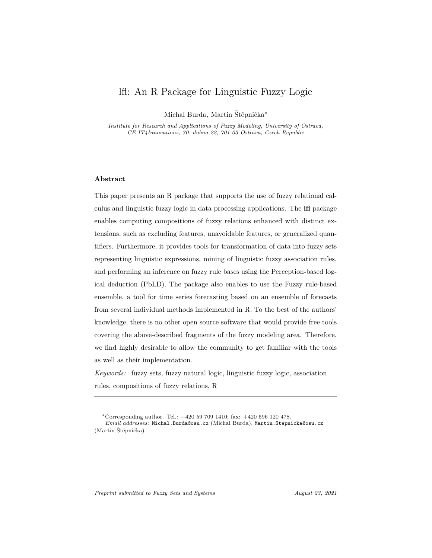# lfl: An R Package for Linguistic Fuzzy Logic

Michal Burda, Martin Štěpnička<sup>\*</sup>

*Institute for Research and Applications of Fuzzy Modeling, University of Ostrava, CE IT4Innovations, 30. dubna 22, 701 03 Ostrava, Czech Republic*

### **Abstract**

This paper presents an R package that supports the use of fuzzy relational calculus and linguistic fuzzy logic in data processing applications. The **lfl** package enables computing compositions of fuzzy relations enhanced with distinct extensions, such as excluding features, unavoidable features, or generalized quantifiers. Furthermore, it provides tools for transformation of data into fuzzy sets representing linguistic expressions, mining of linguistic fuzzy association rules, and performing an inference on fuzzy rule bases using the Perception-based logical deduction (PbLD). The package also enables to use the Fuzzy rule-based ensemble, a tool for time series forecasting based on an ensemble of forecasts from several individual methods implemented in R. To the best of the authors' knowledge, there is no other open source software that would provide free tools covering the above-described fragments of the fuzzy modeling area. Therefore, we find highly desirable to allow the community to get familiar with the tools as well as their implementation.

*Keywords:* fuzzy sets, fuzzy natural logic, linguistic fuzzy logic, association rules, compositions of fuzzy relations, R

<sup>∗</sup>Corresponding author. Tel.: +420 59 709 1410; fax: +420 596 120 478. *Email addresses:* Michal.Burda@osu.cz (Michal Burda), Martin.Stepnicka@osu.cz (Martin Štěpnička)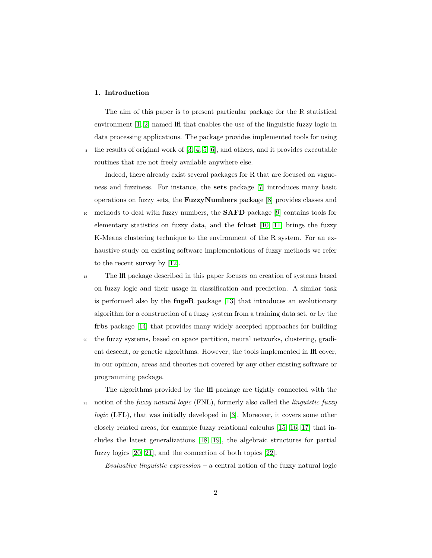### **1. Introduction**

The aim of this paper is to present particular package for the R statistical environment [\[1,](#page-60-0) [2\]](#page-60-1) named **lfl** that enables the use of the linguistic fuzzy logic in data processing applications. The package provides implemented tools for using  $\frac{1}{5}$  the results of original work of [\[3,](#page-60-2) [4,](#page-60-3) [5,](#page-60-4) [6\]](#page-61-0), and others, and it provides executable

routines that are not freely available anywhere else.

Indeed, there already exist several packages for R that are focused on vagueness and fuzziness. For instance, the **sets** package [\[7\]](#page-61-1) introduces many basic operations on fuzzy sets, the **FuzzyNumbers** package [\[8\]](#page-61-2) provides classes and

- <sup>10</sup> methods to deal with fuzzy numbers, the **SAFD** package [\[9\]](#page-61-3) contains tools for elementary statistics on fuzzy data, and the **fclust** [\[10,](#page-61-4) [11\]](#page-61-5) brings the fuzzy K-Means clustering technique to the environment of the R system. For an exhaustive study on existing software implementations of fuzzy methods we refer to the recent survey by [\[12\]](#page-61-6).
- <sup>15</sup> The **lfl** package described in this paper focuses on creation of systems based on fuzzy logic and their usage in classification and prediction. A similar task is performed also by the **fugeR** package [\[13\]](#page-61-7) that introduces an evolutionary algorithm for a construction of a fuzzy system from a training data set, or by the **frbs** package [\[14\]](#page-61-8) that provides many widely accepted approaches for building
- <sup>20</sup> the fuzzy systems, based on space partition, neural networks, clustering, gradient descent, or genetic algorithms. However, the tools implemented in **lfl** cover, in our opinion, areas and theories not covered by any other existing software or programming package.
- The algorithms provided by the **lfl** package are tightly connected with the <sup>25</sup> notion of the *fuzzy natural logic* (FNL), formerly also called the *linguistic fuzzy logic* (LFL), that was initially developed in [\[3\]](#page-60-2). Moreover, it covers some other closely related areas, for example fuzzy relational calculus [\[15,](#page-62-0) [16,](#page-62-1) [17\]](#page-62-2) that includes the latest generalizations [\[18,](#page-62-3) [19\]](#page-62-4), the algebraic structures for partial fuzzy logics [\[20,](#page-62-5) [21\]](#page-62-6), and the connection of both topics [\[22\]](#page-62-7).

*Evaluative linguistic expression* – a central notion of the fuzzy natural logic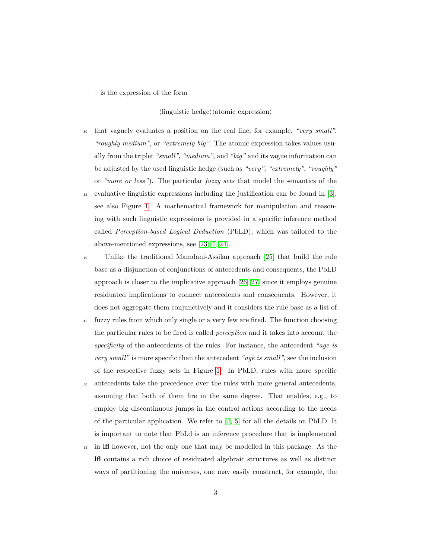– is the expression of the form

### $\langle$ linguistic hedge $\rangle$  $\langle$ atomic expression $\rangle$

- <sup>30</sup> that vaguely evaluates a position on the real line, for example, *"very small"*, *"roughly medium"*, or *"extremely big"*. The atomic expression takes values usually from the triplet *"small"*, *"medium"*, and *"big"* and its vague information can be adjusted by the used linguistic hedge (such as *"very"*, *"extremely"*, *"roughly"* or *"more or less"*). The particular *fuzzy sets* that model the semantics of the
- <sup>35</sup> evaluative linguistic expressions including the justification can be found in [\[3\]](#page-60-2), see also Figure [1.](#page-23-0) A mathematical framework for manipulation and reasoning with such linguistic expressions is provided in a specific inference method called *Perception-based Logical Deduction* (PbLD), which was tailored to the above-mentioned expressions, see [\[23,](#page-63-0) [4,](#page-60-3) [24\]](#page-63-1).
- <sup>40</sup> Unlike the traditional Mamdani-Assilan approach [\[25\]](#page-63-2) that build the rule base as a disjunction of conjunctions of antecedents and consequents, the PbLD approach is closer to the implicative approach [\[26,](#page-63-3) [27\]](#page-63-4) since it employs genuine residuated implications to connect antecedents and consequents. However, it does not aggregate them conjunctively and it considers the rule base as a list of
- <sup>45</sup> fuzzy rules from which only single or a very few are fired. The function choosing the particular rules to be fired is called *perception* and it takes into account the *specificity* of the antecedents of the rules. For instance, the antecedent *"age is very small"* is more specific than the antecedent *"age is small"*, see the inclusion of the respective fuzzy sets in Figure [1.](#page-23-0) In PbLD, rules with more specific
- <sup>50</sup> antecedents take the precedence over the rules with more general antecedents, assuming that both of them fire in the same degree. That enables, e.g., to employ big discontinuous jumps in the control actions according to the needs of the particular application. We refer to  $[4, 5]$  $[4, 5]$  for all the details on PbLD. It is important to note that PbLd is an inference procedure that is implemented
- <sup>55</sup> in **lfl** however, not the only one that may be modelled in this package. As the **lfl** contains a rich choice of residuated algebraic structures as well as distinct ways of partitioning the universes, one may easily construct, for example, the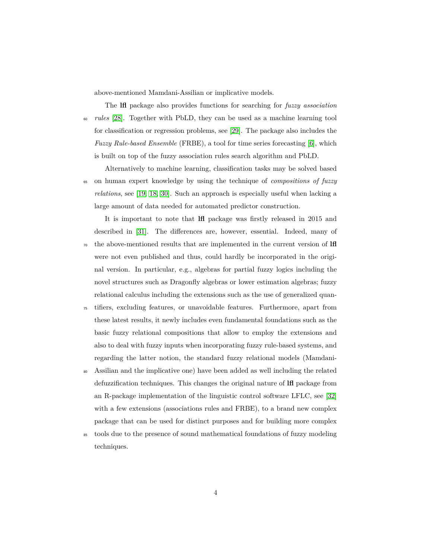above-mentioned Mamdani-Assilian or implicative models.

The **lfl** package also provides functions for searching for *fuzzy association* <sup>60</sup> *rules* [\[28\]](#page-63-5). Together with PbLD, they can be used as a machine learning tool for classification or regression problems, see [\[29\]](#page-63-6). The package also includes the *Fuzzy Rule-based Ensemble* (FRBE), a tool for time series forecasting [\[6\]](#page-61-0), which is built on top of the fuzzy association rules search algorithm and PbLD.

Alternatively to machine learning, classification tasks may be solved based <sup>65</sup> on human expert knowledge by using the technique of *compositions of fuzzy relations*, see [\[19,](#page-62-4) [18,](#page-62-3) [30\]](#page-63-7). Such an approach is especially useful when lacking a large amount of data needed for automated predictor construction.

It is important to note that **lfl** package was firstly released in 2015 and described in [\[31\]](#page-63-8). The differences are, however, essential. Indeed, many of <sup>70</sup> the above-mentioned results that are implemented in the current version of **lfl** were not even published and thus, could hardly be incorporated in the original version. In particular, e.g., algebras for partial fuzzy logics including the novel structures such as Dragonfly algebras or lower estimation algebras; fuzzy relational calculus including the extensions such as the use of generalized quan-

- <sup>75</sup> tifiers, excluding features, or unavoidable features. Furthermore, apart from these latest results, it newly includes even fundamental foundations such as the basic fuzzy relational compositions that allow to employ the extensions and also to deal with fuzzy inputs when incorporating fuzzy rule-based systems, and regarding the latter notion, the standard fuzzy relational models (Mamdani-
- <sup>80</sup> Assilian and the implicative one) have been added as well including the related defuzzification techniques. This changes the original nature of **lfl** package from an R-package implementation of the linguistic control software LFLC, see [\[32\]](#page-64-0) with a few extensions (associations rules and FRBE), to a brand new complex package that can be used for distinct purposes and for building more complex
- <sup>85</sup> tools due to the presence of sound mathematical foundations of fuzzy modeling techniques.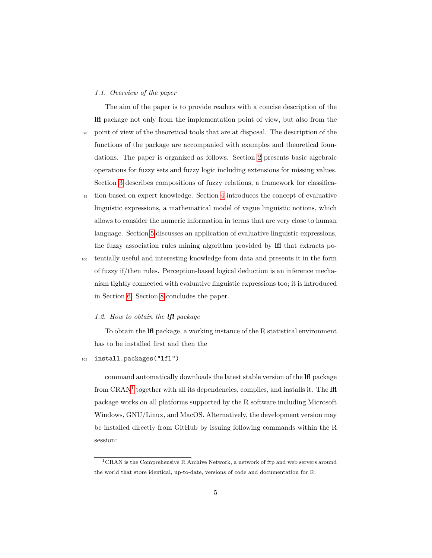#### *1.1. Overview of the paper*

The aim of the paper is to provide readers with a concise description of the **lfl** package not only from the implementation point of view, but also from the <sup>90</sup> point of view of the theoretical tools that are at disposal. The description of the functions of the package are accompanied with examples and theoretical foundations. The paper is organized as follows. Section [2](#page-5-0) presents basic algebraic operations for fuzzy sets and fuzzy logic including extensions for missing values. Section [3](#page-14-0) describes compositions of fuzzy relations, a framework for classifica-

- <sup>95</sup> tion based on expert knowledge. Section [4](#page-22-0) introduces the concept of evaluative linguistic expressions, a mathematical model of vague linguistic notions, which allows to consider the numeric information in terms that are very close to human language. Section [5](#page-37-0) discusses an application of evaluative linguistic expressions, the fuzzy association rules mining algorithm provided by **lfl** that extracts po-
- <sup>100</sup> tentially useful and interesting knowledge from data and presents it in the form of fuzzy if/then rules. Perception-based logical deduction is an inference mechanism tightly connected with evaluative linguistic expressions too; it is introduced in Section [6.](#page-42-0) Section [8](#page-59-0) concludes the paper.

#### *1.2. How to obtain the lfl package*

To obtain the **lfl** package, a working instance of the R statistical environment has to be installed first and then the

### <sup>105</sup> install.packages("lfl")

command automatically downloads the latest stable version of the **lfl** package from CRAN<sup>[1](#page-4-0)</sup> together with all its dependencies, compiles, and installs it. The **lfl** package works on all platforms supported by the R software including Microsoft Windows, GNU/Linux, and MacOS. Alternatively, the development version may be installed directly from GitHub by issuing following commands within the R session:

<span id="page-4-0"></span><sup>1</sup>CRAN is the Comprehensive R Archive Network, a network of ftp and web servers around the world that store identical, up-to-date, versions of code and documentation for R.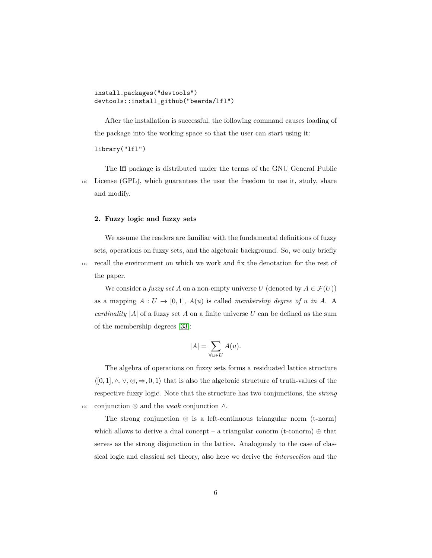install.packages("devtools") devtools::install\_github("beerda/lfl")

After the installation is successful, the following command causes loading of the package into the working space so that the user can start using it:

#### library("lfl")

The **lfl** package is distributed under the terms of the GNU General Public <sup>110</sup> License (GPL), which guarantees the user the freedom to use it, study, share and modify.

#### <span id="page-5-0"></span>**2. Fuzzy logic and fuzzy sets**

We assume the readers are familiar with the fundamental definitions of fuzzy sets, operations on fuzzy sets, and the algebraic background. So, we only briefly <sup>115</sup> recall the environment on which we work and fix the denotation for the rest of the paper.

We consider a *fuzzy set A* on a non-empty universe *U* (denoted by  $A \in \mathcal{F}(U)$ ) as a mapping  $A: U \to [0,1], A(u)$  is called *membership degree of u in A*. A *cardinality*  $|A|$  of a fuzzy set A on a finite universe U can be defined as the sum of the membership degrees [\[33\]](#page-64-1):

$$
|A| = \sum_{\forall u \in U} A(u).
$$

The algebra of operations on fuzzy sets forms a residuated lattice structure  $\langle [0,1], \wedge, \vee, \otimes, \Rightarrow, 0,1 \rangle$  that is also the algebraic structure of truth-values of the respective fuzzy logic. Note that the structure has two conjunctions, the *strong* <sup>120</sup> conjunction ⊗ and the *weak* conjunction ∧.

The strong conjunction  $\otimes$  is a left-continuous triangular norm (t-norm) which allows to derive a dual concept – a triangular conorm (t-conorm)  $\oplus$  that serves as the strong disjunction in the lattice. Analogously to the case of classical logic and classical set theory, also here we derive the *intersection* and the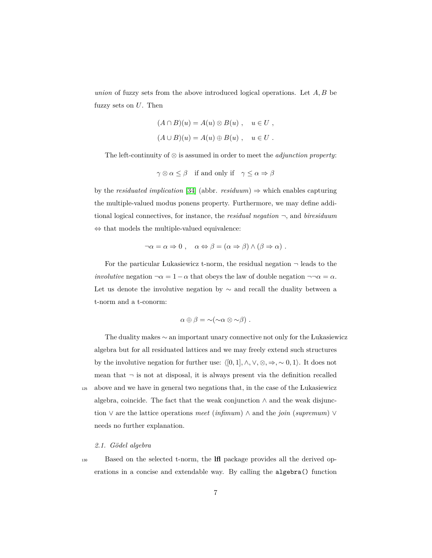*union* of fuzzy sets from the above introduced logical operations. Let *A, B* be fuzzy sets on *U*. Then

$$
(A \cap B)(u) = A(u) \otimes B(u) , \quad u \in U ,
$$
  

$$
(A \cup B)(u) = A(u) \oplus B(u) , \quad u \in U .
$$

The left-continuity of ⊗ is assumed in order to meet the *adjunction property*:

$$
\gamma \otimes \alpha \leq \beta
$$
 if and only if  $\gamma \leq \alpha \Rightarrow \beta$ 

by the *residuated implication* [\[34\]](#page-64-2) (abbr.  $residuum) \Rightarrow$  which enables capturing the multiple-valued modus ponens property. Furthermore, we may define additional logical connectives, for instance, the *residual negation* ¬, and *biresiduum* ⇔ that models the multiple-valued equivalence:

$$
\neg \alpha = \alpha \Rightarrow 0 , \quad \alpha \Leftrightarrow \beta = (\alpha \Rightarrow \beta) \land (\beta \Rightarrow \alpha) .
$$

For the particular Lukasiewicz t-norm, the residual negation  $\neg$  leads to the *involutive* negation  $\neg \alpha = 1 - \alpha$  that obeys the law of double negation  $\neg \neg \alpha = \alpha$ . Let us denote the involutive negation by  $\sim$  and recall the duality between a t-norm and a t-conorm:

$$
\alpha \oplus \beta = \sim (\sim \alpha \otimes \sim \beta) \ .
$$

The duality makes ∼ an important unary connective not only for the Lukasiewicz algebra but for all residuated lattices and we may freely extend such structures by the involutive negation for further use:  $\langle [0,1], \wedge, \vee, \otimes, \Rightarrow, \sim 0, 1 \rangle$ . It does not mean that  $\neg$  is not at disposal, it is always present via the definition recalled <sup>125</sup> above and we have in general two negations that, in the case of the Lukasiewicz algebra, coincide. The fact that the weak conjunction  $\wedge$  and the weak disjunction ∨ are the lattice operations *meet* (*infimum*) ∧ and the *join* (*supremum*) ∨ needs no further explanation.

#### <span id="page-6-0"></span>*2.1. G¨odel algebra*

<sup>130</sup> Based on the selected t-norm, the **lfl** package provides all the derived operations in a concise and extendable way. By calling the algebra() function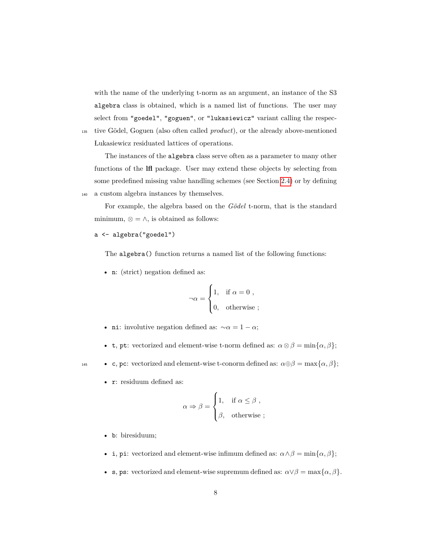with the name of the underlying t-norm as an argument, an instance of the S3 algebra class is obtained, which is a named list of functions. The user may select from "goedel", "goguen", or "lukasiewicz" variant calling the respec-<sup>135</sup> tive Gödel, Goguen (also often called *product*), or the already above-mentioned

Lukasiewicz residuated lattices of operations.

The instances of the algebra class serve often as a parameter to many other functions of the **lfl** package. User may extend these objects by selecting from some predefined missing value handling schemes (see Section [2.4\)](#page-10-0) or by defining <sup>140</sup> a custom algebra instances by themselves.

For example, the algebra based on the *Gödel* t-norm, that is the standard minimum,  $\otimes = \wedge$ , is obtained as follows:

a <- algebra("goedel")

The algebra() function returns a named list of the following functions:

• n: (strict) negation defined as:

$$
\neg \alpha = \begin{cases} 1, & \text{if } \alpha = 0 , \\ 0, & \text{otherwise} ; \end{cases}
$$

- ni: involutive negation defined as:  $\sim \alpha = 1 \alpha$ ;
- t, pt: vectorized and element-wise t-norm defined as:  $\alpha \otimes \beta = \min{\alpha, \beta}$ ;

- **•** c, pc: vectorized and element-wise t-conorm defined as:  $\alpha \oplus \beta = \max{\alpha, \beta};$ 
	- r: residuum defined as:

$$
\alpha \Rightarrow \beta = \begin{cases} 1, & \text{if } \alpha \leq \beta , \\ \beta, & \text{otherwise} ; \end{cases}
$$

- b: biresiduum;
- i, pi: vectorized and element-wise infimum defined as:  $\alpha \wedge \beta = \min{\{\alpha, \beta\}};$
- s, ps: vectorized and element-wise supremum defined as:  $\alpha \vee \beta = \max{\{\alpha, \beta\}}$ .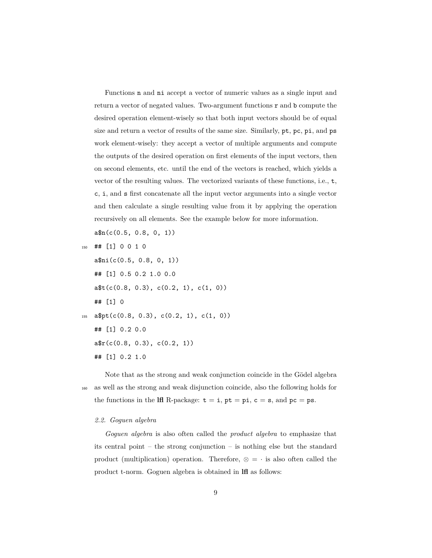Functions n and ni accept a vector of numeric values as a single input and return a vector of negated values. Two-argument functions r and b compute the desired operation element-wisely so that both input vectors should be of equal size and return a vector of results of the same size. Similarly, pt, pc, pi, and ps work element-wisely: they accept a vector of multiple arguments and compute the outputs of the desired operation on first elements of the input vectors, then on second elements, etc. until the end of the vectors is reached, which yields a vector of the resulting values. The vectorized variants of these functions, i.e., t, c, i, and s first concatenate all the input vector arguments into a single vector and then calculate a single resulting value from it by applying the operation recursively on all elements. See the example below for more information.

a\$n(c(0.5, 0.8, 0, 1))

<sup>150</sup> ## [1] 0 0 1 0

a\$ni(c(0.5, 0.8, 0, 1)) ## [1] 0.5 0.2 1.0 0.0  $a$ \$t(c(0.8, 0.3), c(0.2, 1), c(1, 0)) ## [1] 0 155  $a$pt(c(0.8, 0.3), c(0.2, 1), c(1, 0))$ ## [1] 0.2 0.0  $a\frac{e}{c}(c(0.8, 0.3), c(0.2, 1))$ ## [1] 0.2 1.0

Note that as the strong and weak conjunction coincide in the Gödel algebra <sup>160</sup> as well as the strong and weak disjunction coincide, also the following holds for the functions in the **lfl** R-package:  $t = i$ ,  $pt = pi$ ,  $c = s$ , and  $pc = ps$ .

#### *2.2. Goguen algebra*

*Goguen algebra* is also often called the *product algebra* to emphasize that its central point – the strong conjunction – is nothing else but the standard product (multiplication) operation. Therefore,  $\otimes = \cdot$  is also often called the product t-norm. Goguen algebra is obtained in **lfl** as follows: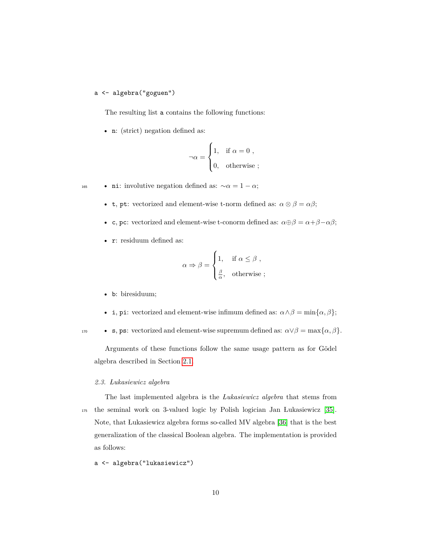### a <- algebra("goguen")

The resulting list a contains the following functions:

• n: (strict) negation defined as:

$$
\neg \alpha = \begin{cases} 1, & \text{if } \alpha = 0 , \\ 0, & \text{otherwise} ; \end{cases}
$$

**• ni:** involutive negation defined as:  $\sim \alpha = 1 - \alpha$ ;

- + **t**, pt: vectorized and element-wise t-norm defined as:  $\alpha \otimes \beta = \alpha \beta$ ;
- c, pc: vectorized and element-wise t-conorm defined as:  $α⊕β = α + β − αβ$ ;
- r: residuum defined as:

$$
\alpha \Rightarrow \beta = \begin{cases} 1, & \text{if } \alpha \leq \beta , \\ \frac{\beta}{\alpha}, & \text{otherwise} ; \end{cases}
$$

- b: biresiduum;
- i, pi: vectorized and element-wise infimum defined as:  $\alpha \wedge \beta = \min{\{\alpha, \beta\}}$ ;

**•** s, ps: vectorized and element-wise supremum defined as:  $\alpha \vee \beta = \max{\{\alpha, \beta\}}$ .

Arguments of these functions follow the same usage pattern as for Gödel algebra described in Section [2.1.](#page-6-0)

#### *2.3. Lukasiewicz algebra*

The last implemented algebra is the *Lukasiewicz algebra* that stems from <sup>175</sup> the seminal work on 3-valued logic by Polish logician Jan Lukasiewicz [\[35\]](#page-64-3). Note, that Lukasiewicz algebra forms so-called MV algebra [\[36\]](#page-64-4) that is the best generalization of the classical Boolean algebra. The implementation is provided as follows:

a <- algebra("lukasiewicz")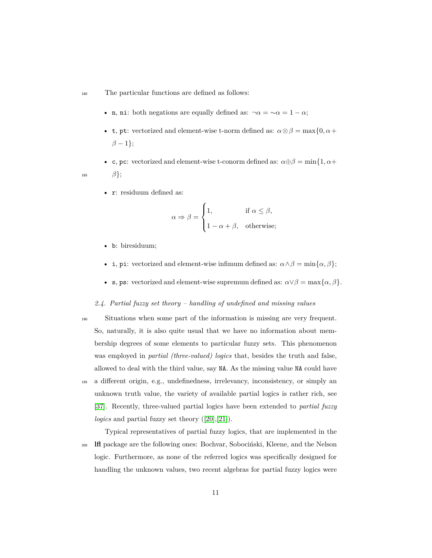<sup>180</sup> The particular functions are defined as follows:

- n, ni: both negations are equally defined as:  $\neg \alpha = \neg \alpha = 1 \alpha$ ;
- **t**, pt: vectorized and element-wise t-norm defined as:  $\alpha \otimes \beta = \max\{0, \alpha + \beta\}$  $\beta - 1$ };

• c, pc: vectorized and element-wise t-conorm defined as:  $\alpha \oplus \beta = \min\{1, \alpha + \beta\}$ 185  $\beta$ ;

• r: residuum defined as:

$$
\alpha \Rightarrow \beta = \begin{cases} 1, & \text{if } \alpha \le \beta, \\ 1 - \alpha + \beta, & \text{otherwise}; \end{cases}
$$

- b: biresiduum;
- i, pi: vectorized and element-wise infimum defined as:  $\alpha \wedge \beta = \min\{\alpha, \beta\}$ ;
- s, ps: vectorized and element-wise supremum defined as:  $\alpha \vee \beta = \max{\{\alpha, \beta\}}$ .

#### <span id="page-10-0"></span>*2.4. Partial fuzzy set theory – handling of undefined and missing values*

<sup>190</sup> Situations when some part of the information is missing are very frequent. So, naturally, it is also quite usual that we have no information about membership degrees of some elements to particular fuzzy sets. This phenomenon was employed in *partial (three-valued) logics* that, besides the truth and false, allowed to deal with the third value, say NA. As the missing value NA could have <sup>195</sup> a different origin, e.g., undefinedness, irrelevancy, inconsistency, or simply an unknown truth value, the variety of available partial logics is rather rich, see [\[37\]](#page-64-5). Recently, three-valued partial logics have been extended to *partial fuzzy logics* and partial fuzzy set theory ([\[20\]](#page-62-5),[\[21\]](#page-62-6)).

Typical representatives of partial fuzzy logics, that are implemented in the <sub>200</sub> **lfl** package are the following ones: Bochvar, Sobocinski, Kleene, and the Nelson logic. Furthermore, as none of the referred logics was specifically designed for handling the unknown values, two recent algebras for partial fuzzy logics were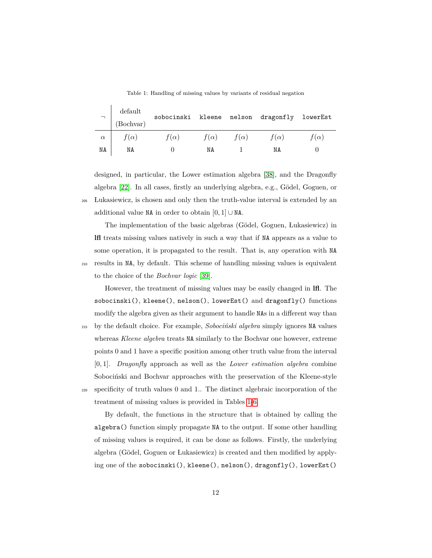Table 1: Handling of missing values by variants of residual negation

<span id="page-11-0"></span>

| $\overline{\phantom{0}}$ | default<br>(Bochvar) | sobocinski  |             |             | kleene nelson dragonfly | lowerEst    |
|--------------------------|----------------------|-------------|-------------|-------------|-------------------------|-------------|
| $\alpha$                 | $f(\alpha)$          | $f(\alpha)$ | $f(\alpha)$ | $f(\alpha)$ | $f(\alpha)$             | $f(\alpha)$ |
| ΝA                       | ΝA                   |             | NΑ          |             | NA                      |             |

designed, in particular, the Lower estimation algebra [\[38\]](#page-64-6), and the Dragonfly algebra [\[22\]](#page-62-7). In all cases, firstly an underlying algebra, e.g., Gödel, Goguen, or <sup>205</sup> Lukasiewicz, is chosen and only then the truth-value interval is extended by an additional value NA in order to obtain [0*,* 1] ∪ NA.

The implementation of the basic algebras (Gödel, Goguen, Lukasiewicz) in **lfl** treats missing values natively in such a way that if NA appears as a value to some operation, it is propagated to the result. That is, any operation with NA <sup>210</sup> results in NA, by default. This scheme of handling missing values is equivalent to the choice of the *Bochvar logic* [\[39\]](#page-64-7).

However, the treatment of missing values may be easily changed in **lfl**. The sobocinski(), kleene(), nelson(), lowerEst() and dragonfly() functions modify the algebra given as their argument to handle NAs in a different way than

<sup>215</sup> by the default choice. For example, *Soboci´nski algebra* simply ignores NA values whereas *Kleene algebra* treats NA similarly to the Bochvar one however, extreme points 0 and 1 have a specific position among other truth value from the interval [0*,* 1]. *Dragonfly* approach as well as the *Lower estimation algebra* combine Sobocinski and Bochvar approaches with the preservation of the Kleene-style <sup>220</sup> specificity of truth values 0 and 1.. The distinct algebraic incorporation of the treatment of missing values is provided in Tables [1](#page-11-0)[-6.](#page-13-0)

By default, the functions in the structure that is obtained by calling the algebra() function simply propagate NA to the output. If some other handling of missing values is required, it can be done as follows. Firstly, the underlying algebra (Gödel, Goguen or Lukasiewicz) is created and then modified by applying one of the sobocinski(), kleene(), nelson(), dragonfly(), lowerEst()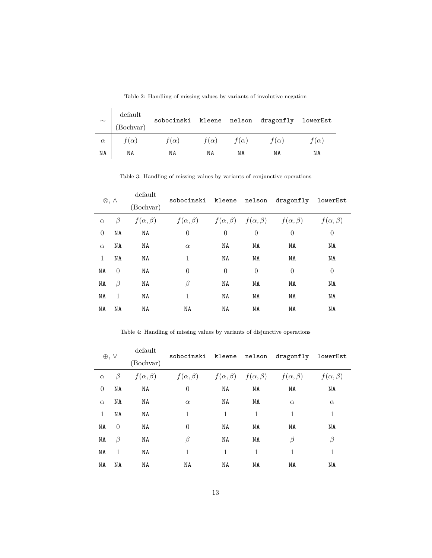| $\sim$   | $\operatorname{default}$<br>(Bochvar) | sobocinski kleene nelson dragonfly |             |             |             | lowerEst    |
|----------|---------------------------------------|------------------------------------|-------------|-------------|-------------|-------------|
| $\alpha$ | $f(\alpha)$                           | $f(\alpha)$                        | $f(\alpha)$ | $f(\alpha)$ | $f(\alpha)$ | $f(\alpha)$ |
| ΝA       | NA                                    | ΝA                                 | ΝA          | ΝA          | NA          | ΝA          |

Table 2: Handling of missing values by variants of involutive negation

Table 3: Handling of missing values by variants of conjunctive operations

|          | $\otimes, \wedge$ | default<br>(Bochvar) | sobocinski kleene                                                           |                | nelson   | dragonfly      | lowerEst           |
|----------|-------------------|----------------------|-----------------------------------------------------------------------------|----------------|----------|----------------|--------------------|
| $\alpha$ | $\beta$           | $f(\alpha, \beta)$   | $f(\alpha, \beta)$ $f(\alpha, \beta)$ $f(\alpha, \beta)$ $f(\alpha, \beta)$ |                |          |                | $f(\alpha, \beta)$ |
| $\theta$ | NA                | NA                   | $\theta$                                                                    | $\overline{0}$ | $\theta$ | $\overline{0}$ | $\theta$           |
| $\alpha$ | NA                | NA                   | $\alpha$                                                                    | NA             | NA       | NA             | NA                 |
| 1        | NA                | NA                   | $\mathbf{1}$                                                                | NA             | NA       | ΝA             | NA                 |
| NA       | $\theta$          | NA                   | $\theta$                                                                    | $\theta$       | $\theta$ | $\theta$       | $\theta$           |
| ΝA       | $\beta$           | NA                   | β                                                                           | NA             | NA       | ΝA             | ΝA                 |
| NA       | $\mathbf{1}$      | NA                   | 1                                                                           | NA             | NA       | NA             | NA                 |
| ΝA       | NA                | NA                   | NA                                                                          | ΝA             | NA       | NA             | NA                 |

Table 4: Handling of missing values by variants of disjunctive operations

| $\oplus, \vee$ |              | default<br>(Bochvar) | sobocinski kleene nelson dragonfly                                          |    |    |          | lowerEst           |
|----------------|--------------|----------------------|-----------------------------------------------------------------------------|----|----|----------|--------------------|
| $\alpha$       | $\beta$      | $f(\alpha, \beta)$   | $f(\alpha, \beta)$ $f(\alpha, \beta)$ $f(\alpha, \beta)$ $f(\alpha, \beta)$ |    |    |          | $f(\alpha, \beta)$ |
| $\theta$       | NA           | NA                   | $\overline{0}$                                                              | NA | NA | NA       | NA                 |
| $\alpha$       | NA           | NA                   | $\alpha$                                                                    | NA | NA | $\alpha$ | $\alpha$           |
| $\mathbf{1}$   | NA           | NA                   | 1                                                                           | 1  | 1  | 1        | 1                  |
| NA             | $\theta$     | NA                   | $\theta$                                                                    | NA | NA | NA       | NA                 |
| NA             | $\beta$      | NA                   | β                                                                           | NA | NA | β        | β                  |
| NA             | $\mathbf{1}$ | NA                   | 1                                                                           | 1  | 1  | 1        | 1                  |
| ΝA             | ΝA           | ΝA                   | NA                                                                          | ΝA | ΝA | ΝA       | NA                 |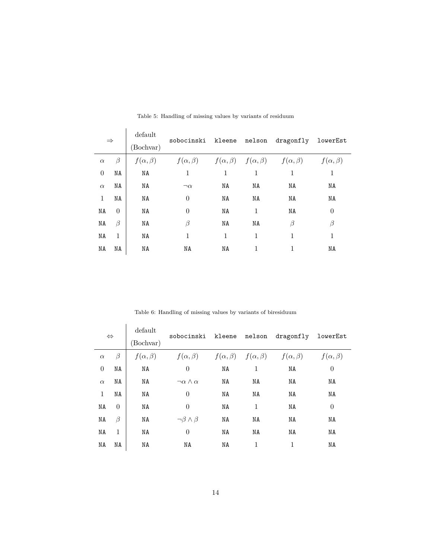| $\Rightarrow$ |              | default<br>(Bochvar) | sobocinski kleene nelson                                                    |              |              | dragonfly | lowerEst           |
|---------------|--------------|----------------------|-----------------------------------------------------------------------------|--------------|--------------|-----------|--------------------|
| $\alpha$      | $\beta$      | $f(\alpha, \beta)$   | $f(\alpha, \beta)$ $f(\alpha, \beta)$ $f(\alpha, \beta)$ $f(\alpha, \beta)$ |              |              |           | $f(\alpha, \beta)$ |
| $\theta$      | NA           | NA                   | $\mathbf{1}$                                                                | $\mathbf{1}$ | $\mathbf{1}$ | 1         | $\mathbf{1}$       |
| $\alpha$      | NA           | NA                   | $\neg \alpha$                                                               | ΝA           | NA           | ΝA        | NA                 |
| $\mathbf{1}$  | NA           | NA                   | $\theta$                                                                    | NA           | NA           | NA        | NA                 |
| NA            | $\theta$     | NA                   | $\theta$                                                                    | NA           | 1            | NA        | $\theta$           |
| ΝA            | $\beta$      | NA                   | β                                                                           | NA           | NA           | β         | β                  |
| NA            | $\mathbf{1}$ | NA                   | 1                                                                           | 1            | $\mathbf{1}$ | 1         | 1                  |
| NA            | NA           | NA                   | NA                                                                          | NA           | 1            | 1         | NA                 |

Table 5: Handling of missing values by variants of residuum

Table 6: Handling of missing values by variants of biresiduum

<span id="page-13-0"></span>

| $\Leftrightarrow$ |          | default<br>(Bochvar) | sobocinski kleene nelson                                 |    |              | dragonfly          | lowerEst           |
|-------------------|----------|----------------------|----------------------------------------------------------|----|--------------|--------------------|--------------------|
| $\alpha$          | $\beta$  | $f(\alpha, \beta)$   | $f(\alpha, \beta)$ $f(\alpha, \beta)$ $f(\alpha, \beta)$ |    |              | $f(\alpha, \beta)$ | $f(\alpha, \beta)$ |
| $\theta$          | NA       | NA                   | $\theta$                                                 | NA | $\mathbf{1}$ | NA                 | $\theta$           |
| $\alpha$          | ΝA       | NA                   | $\neg \alpha \wedge \alpha$                              | NA | NA           | NA                 | NA                 |
| 1                 | NA       | NA                   | $\theta$                                                 | NA | NA           | NA                 | NA                 |
| NA                | $\theta$ | NA                   | $\theta$                                                 | NA | $\mathbf{1}$ | NA                 | $\theta$           |
| ΝA                | $\beta$  | NA                   | $\neg \beta \wedge \beta$                                | NA | NA           | NA                 | NA                 |
| NA                | 1        | NA                   | $\theta$                                                 | NA | NA           | NA                 | NA                 |
| ΝA                | ΝA       | NA                   | ΝA                                                       | ΝA | 1            | 1                  | NA                 |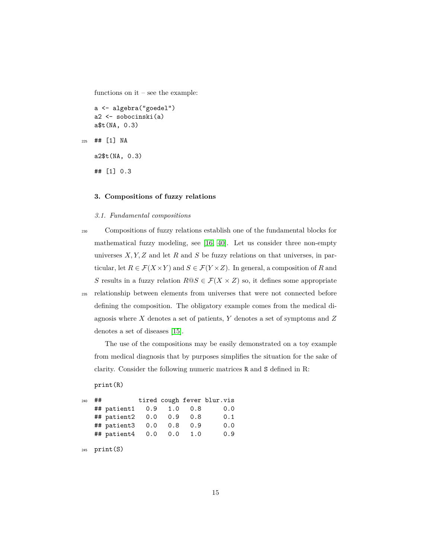functions on  $it$  – see the example:

```
a <- algebra("goedel")
a2 <- sobocinski(a)
a$t(NA, 0.3)
```

```
225 ## [1] NA
```
a2\$t(NA, 0.3)

## [1] 0.3

#### <span id="page-14-0"></span>**3. Compositions of fuzzy relations**

#### <span id="page-14-1"></span>*3.1. Fundamental compositions*

- <sup>230</sup> Compositions of fuzzy relations establish one of the fundamental blocks for mathematical fuzzy modeling, see [\[16,](#page-62-1) [40\]](#page-64-8). Let us consider three non-empty universes *X, Y, Z* and let *R* and *S* be fuzzy relations on that universes, in particular, let  $R \in \mathcal{F}(X \times Y)$  and  $S \in \mathcal{F}(Y \times Z)$ . In general, a composition of *R* and *S* results in a fuzzy relation  $R@S \in \mathcal{F}(X \times Z)$  so, it defines some appropriate
- 

<sup>235</sup> relationship between elements from universes that were not connected before defining the composition. The obligatory example comes from the medical diagnosis where *X* denotes a set of patients, *Y* denotes a set of symptoms and *Z* denotes a set of diseases [\[15\]](#page-62-0).

The use of the compositions may be easily demonstrated on a toy example from medical diagnosis that by purposes simplifies the situation for the sake of clarity. Consider the following numeric matrices R and S defined in R:

```
print(R)
```

| 240 | ## |                            |  |     | tired cough fever blur.vis |
|-----|----|----------------------------|--|-----|----------------------------|
|     |    | ## patient1 0.9 1.0        |  | 0.8 | 0.0                        |
|     |    | ## patient2 0.0 0.9        |  | 0.8 | 0.1                        |
|     |    | ## patient3 0.0 0.8        |  | 0.9 | 0.0                        |
|     |    | ## patient4  0.0  0.0  1.0 |  |     | 0.9                        |

```
245 print(S)
```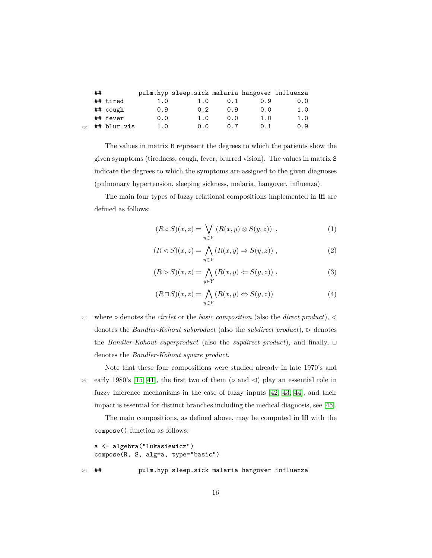|     | ## |             |     | pulm.hyp sleep.sick malaria hangover influenza |      |     |     |
|-----|----|-------------|-----|------------------------------------------------|------|-----|-----|
|     |    | ## tired    | 1.0 | 1.0                                            | 0.1  | 0.9 | 0.0 |
|     |    | ## cough    | 0.9 | 0.2                                            | 0.9  | 0.0 | 1.0 |
|     |    | ## fever    | 0.0 | 1.0                                            | 0.0  | 1.0 | 1.0 |
| 250 |    | ## blur.vis | 1.0 | 0.0                                            | 0. Z | 0.1 | 0.9 |

The values in matrix R represent the degrees to which the patients show the given symptoms (tiredness, cough, fever, blurred vision). The values in matrix S indicate the degrees to which the symptoms are assigned to the given diagnoses (pulmonary hypertension, sleeping sickness, malaria, hangover, influenza).

The main four types of fuzzy relational compositions implemented in **lfl** are defined as follows:

<span id="page-15-2"></span><span id="page-15-0"></span>
$$
(R \circ S)(x, z) = \bigvee_{y \in Y} (R(x, y) \otimes S(y, z)) , \qquad (1)
$$

$$
(R \triangleleft S)(x, z) = \bigwedge_{y \in Y} (R(x, y) \Rightarrow S(y, z)) ,
$$
 (2)

$$
(R \triangleright S)(x, z) = \bigwedge_{y \in Y} (R(x, y) \Leftarrow S(y, z)) ,
$$
\n(3)

<span id="page-15-1"></span>
$$
(R \sqcup S)(x, z) = \bigwedge_{y \in Y} (R(x, y) \Leftrightarrow S(y, z))
$$
\n(4)

255 where ∘ denotes the *circlet* or the *basic composition* (also the *direct product*), denotes the *Bandler-Kohout subproduct* (also the *subdirect product*),  $\triangleright$  denotes the *Bandler-Kohout superproduct* (also the *supdirect product*), and finally,  $\Box$ denotes the *Bandler-Kohout square product*.

Note that these four compositions were studied already in late 1970's and 260 early 1980's [\[15,](#page-62-0) [41\]](#page-64-9), the first two of them ( $\circ$  and  $\triangleleft$ ) play an essential role in fuzzy inference mechanisms in the case of fuzzy inputs [\[42,](#page-64-10) [43,](#page-64-11) [44\]](#page-65-0), and their impact is essential for distinct branches including the medical diagnosis, see [\[45\]](#page-65-1).

The main compositions, as defined above, may be computed in **lfl** with the compose() function as follows:

```
a <- algebra("lukasiewicz")
   compose(R, S, alg=a, type="basic")
265 ## pulm.hyp sleep.sick malaria hangover influenza
```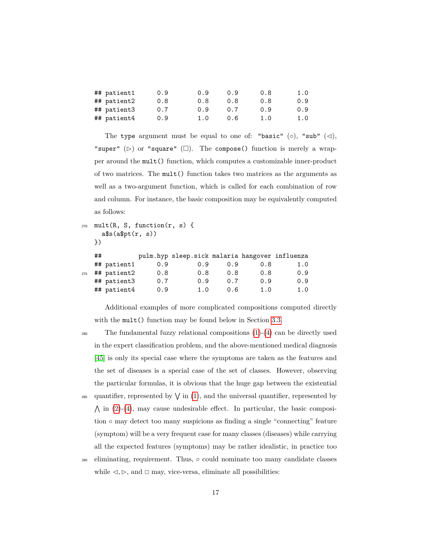| ## patient1 | 0.9 | 0.9 | 0.9 | 0.8 | 1.0 |
|-------------|-----|-----|-----|-----|-----|
| ## patient2 | 0.8 | 0.8 | 0.8 | 0.8 | 0.9 |
| ## patient3 | 0.7 | 0.9 | 0.7 | 0.9 | 0.9 |
| ## patient4 | 0.9 | 1.0 | 0.6 | 1.0 | 1.0 |

The type argument must be equal to one of: "basic" (○), "sub" ( $\triangleleft$ ), "super" ( $\triangleright$ ) or "square" ( $\square$ ). The compose() function is merely a wrapper around the mult() function, which computes a customizable inner-product of two matrices. The mult() function takes two matrices as the arguments as well as a two-argument function, which is called for each combination of row and column. For instance, the basic composition may be equivalently computed as follows:

```
270 mult(R, S, function(r, s) {
     a$s(a$pt(r, s))
```

```
})
```

| ## |                            |                            |     |     |                                                |
|----|----------------------------|----------------------------|-----|-----|------------------------------------------------|
|    | 0.9                        | 0.9                        | 0.9 | 0.8 | 1.0                                            |
|    | 0.8                        | 0.8                        | 0.8 | 0.8 | 0.9                                            |
|    | 0.7                        | 0.9                        | 0.7 | 0.9 | 0.9                                            |
|    | 0.9                        | 1.0                        | 0.6 | 1.0 | 1.0                                            |
|    | ## patient1<br>## patient3 | ## patient2<br>## patient4 |     |     | pulm.hyp sleep.sick malaria hangover influenza |

Additional examples of more complicated compositions computed directly with the mult() function may be found below in Section [3.3.](#page-19-0)

<sup>280</sup> The fundamental fuzzy relational compositions [\(1\)](#page-15-0)-[\(4\)](#page-15-1) can be directly used in the expert classification problem, and the above-mentioned medical diagnosis [\[45\]](#page-65-1) is only its special case where the symptoms are taken as the features and the set of diseases is a special case of the set of classes. However, observing the particular formulas, it is obvious that the huge gap between the existential <sup>285</sup> quantifier, represented by  $\sqrt{\text{in (1)}}$  $\sqrt{\text{in (1)}}$  $\sqrt{\text{in (1)}}$ , and the universal quantifier, represented by

- $\Lambda$  in [\(2\)](#page-15-2)-[\(4\)](#page-15-1), may cause undesirable effect. In particular, the basic composition ◦ may detect too many suspicions as finding a single "connecting" feature (symptom) will be a very frequent case for many classes (diseases) while carrying all the expected features (symptoms) may be rather idealistic, in practice too
- <sup>290</sup> eliminating, requirement. Thus, could nominate too many candidate classes while  $\triangleleft$ ,  $\triangleright$ , and  $\square$  may, vice-versa, eliminate all possibilities: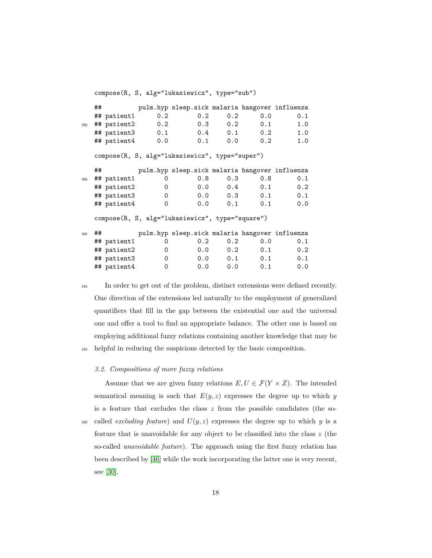compose(R, S, alg="lukasiewicz", type="sub")

|     | ## |                 |     | pulm.hyp sleep.sick malaria hangover influenza  |            |                     |     |
|-----|----|-----------------|-----|-------------------------------------------------|------------|---------------------|-----|
|     |    | ## patient1     | 0.2 | 0.2                                             | 0.2        | 0.0                 | 0.1 |
| 295 |    | ## patient2     | 0.2 |                                                 | 0.2<br>0.3 | 0.1                 | 1.0 |
|     |    | ## patient3 0.1 |     |                                                 |            | $0.4$ 0.1 0.2       | 1.0 |
|     |    | ## patient4 0.0 |     |                                                 | 0.1        | $0.0$ 0.2           | 1.0 |
|     |    |                 |     | compose(R, S, alg="lukasiewicz", type="super")  |            |                     |     |
|     | ## |                 |     | pulm.hyp sleep.sick malaria hangover influenza  |            |                     |     |
| 300 |    | ## patient1     | 0   | 0.8                                             | 0.3        | 0.8                 | 0.1 |
|     |    | ## patient2     | 0   |                                                 |            | $0.0 \t 0.4 \t 0.1$ | 0.2 |
|     |    | ## patient3     | 0   |                                                 |            | $0.0 \t 0.3 \t 0.1$ | 0.1 |
|     |    | ## patient4     | 0   |                                                 |            | $0.0 \t 0.1 \t 0.1$ | 0.0 |
|     |    |                 |     | compose(R, S, alg="lukasiewicz", type="square") |            |                     |     |
| 305 | ## |                 |     | pulm.hyp sleep.sick malaria hangover influenza  |            |                     |     |
|     |    | ## patient1     | 0   | $0.2^{\circ}$                                   | 0.2        | 0.0                 | 0.1 |
|     |    | ## patient2     | 0   |                                                 |            | $0.0 \t 0.2 \t 0.1$ | 0.2 |
|     |    | ## patient3     | 0   | 0.0                                             |            | $0.1$ 0.1           | 0.1 |
|     |    | ## patient4     | 0   | 0.0                                             |            | 0.0<br>0.1          | 0.0 |

<sup>310</sup> In order to get out of the problem, distinct extensions were defined recently. One direction of the extensions led naturally to the employment of generalized quantifiers that fill in the gap between the existential one and the universal one and offer a tool to find an appropriate balance. The other one is based on employing additional fuzzy relations containing another knowledge that may be <sup>315</sup> helpful in reducing the suspicions detected by the basic composition.

#### *3.2. Compositions of more fuzzy relations*

Assume that we are given fuzzy relations  $E, U \in \mathcal{F}(Y \times Z)$ . The intended semantical meaning is such that  $E(y, z)$  expresses the degree up to which *y* is a feature that excludes the class *z* from the possible candidates (the so- $\alpha$  called *excluding feature*) and  $U(y, z)$  expresses the degree up to which *y* is a feature that is unavoidable for any object to be classified into the class *z* (the so-called *unavoidable feature*). The approach using the first fuzzy relation has been described by [\[46\]](#page-65-2) while the work incorporating the latter one is very recent, see [\[30\]](#page-63-7).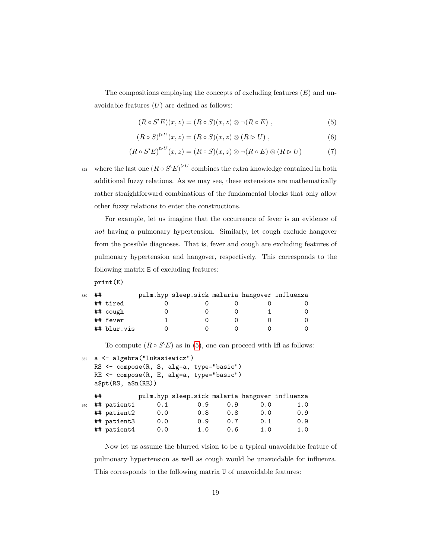The compositions employing the concepts of excluding features (*E*) and unavoidable features (*U*) are defined as follows:

<span id="page-18-2"></span><span id="page-18-1"></span><span id="page-18-0"></span>
$$
(R \circ S'E)(x, z) = (R \circ S)(x, z) \otimes \neg (R \circ E) , \qquad (5)
$$

$$
(R \circ S)^{\triangleright U}(x, z) = (R \circ S)(x, z) \otimes (R \triangleright U) , \qquad (6)
$$

$$
(R \circ S'E)^{\triangleright U}(x, z) = (R \circ S)(x, z) \otimes \neg (R \circ E) \otimes (R \triangleright U) \tag{7}
$$

<sup>325</sup> where the last one  $(R \circ S' E)^{\triangleright U}$  combines the extra knowledge contained in both additional fuzzy relations. As we may see, these extensions are mathematically rather straightforward combinations of the fundamental blocks that only allow other fuzzy relations to enter the constructions.

For example, let us imagine that the occurrence of fever is an evidence of *not* having a pulmonary hypertension. Similarly, let cough exclude hangover from the possible diagnoses. That is, fever and cough are excluding features of pulmonary hypertension and hangover, respectively. This corresponds to the following matrix E of excluding features:

print(E)

| 330 | ## |             | pulm.hyp sleep.sick malaria hangover influenza |  |  |
|-----|----|-------------|------------------------------------------------|--|--|
|     |    | ## tired    |                                                |  |  |
|     |    | ## cough    |                                                |  |  |
|     |    | ## fever    |                                                |  |  |
|     |    | ## blur.vis |                                                |  |  |

To compute  $(R \circ S' E)$  as in [\(5\)](#page-18-0), one can proceed with **lfl** as follows:

```
335 a <- algebra("lukasiewicz")
  RS <- compose(R, S, alg=a, type="basic")
  RE <- compose(R, E, alg=a, type="basic")
  a$pt(RS, a$n(RE))
  ## pulm.hyp sleep.sick malaria hangover influenza
340 ## patient1 0.1 0.9 0.9 0.0 1.0
  ## patient2 0.0 0.8 0.8 0.0 0.9
  ## patient3 0.0 0.9 0.7 0.1 0.9
  ## patient4 0.0 1.0 0.6 1.0 1.0
```
Now let us assume the blurred vision to be a typical unavoidable feature of pulmonary hypertension as well as cough would be unavoidable for influenza. This corresponds to the following matrix U of unavoidable features: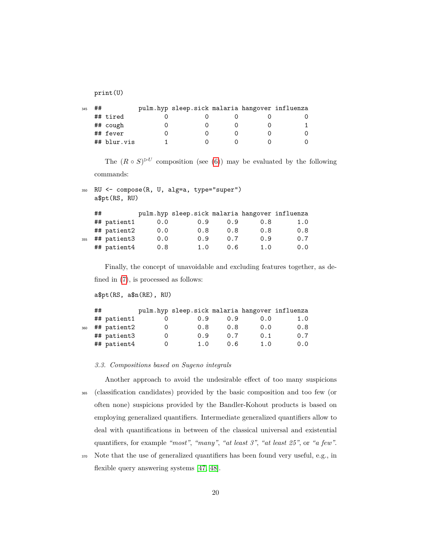print(U)

| 345 | ## |             | pulm.hyp sleep.sick malaria hangover influenza |  |  |
|-----|----|-------------|------------------------------------------------|--|--|
|     |    | ## tired    |                                                |  |  |
|     |    | ## cough    |                                                |  |  |
|     |    | ## fever    |                                                |  |  |
|     |    | ## blur.vis |                                                |  |  |

The  $(R \circ S)^{\triangleright U}$  composition (see [\(6\)](#page-18-1)) may be evaluated by the following commands:

```
350 RU <- compose(R, U, alg=a, type="super")
   a$pt(RS, RU)
```

|     | ## |             |     | pulm.hyp sleep.sick malaria hangover influenza |     |     |     |
|-----|----|-------------|-----|------------------------------------------------|-----|-----|-----|
|     |    | ## patient1 | 0.0 | 0.9                                            | 0.9 | 0.8 | 1.0 |
|     |    | ## patient2 | 0.0 | 0.8                                            | 0.8 | 0.8 | 0.8 |
| 355 |    | ## patient3 | 0.0 | 0.9                                            | 0.7 | 0.9 | 0.7 |
|     |    | ## patient4 | 0.8 | 1.0                                            | 0.6 | 1.0 | 0.0 |

Finally, the concept of unavoidable and excluding features together, as defined in [\(7\)](#page-18-2), is processed as follows:

a\$pt(RS, a\$n(RE), RU)

| ## |                            |                            |      |     |                                                |
|----|----------------------------|----------------------------|------|-----|------------------------------------------------|
|    |                            | 0.9                        | 0.9  | 0.0 | 1.0                                            |
|    |                            | 0.8                        | 0.8  | 0.0 | 0.8                                            |
|    |                            | 0.9                        | 0.7  | 0.1 | 0.7                                            |
|    |                            | 1.0                        | 0. G | 1.0 | 0.0                                            |
|    | ## patient1<br>## patient4 | ## patient2<br>## patient3 |      |     | pulm.hyp sleep.sick malaria hangover influenza |

<span id="page-19-0"></span>*3.3. Compositions based on Sugeno integrals*

Another approach to avoid the undesirable effect of too many suspicions <sup>365</sup> (classification candidates) provided by the basic composition and too few (or often none) suspicions provided by the Bandler-Kohout products is based on employing generalized quantifiers. Intermediate generalized quantifiers allow to deal with quantifications in between of the classical universal and existential quantifiers, for example *"most"*, *"many"*, *"at least 3"*, *"at least 25"*, or *"a few"*.

<sup>370</sup> Note that the use of generalized quantifiers has been found very useful, e.g., in flexible query answering systems [\[47,](#page-65-3) [48\]](#page-65-4).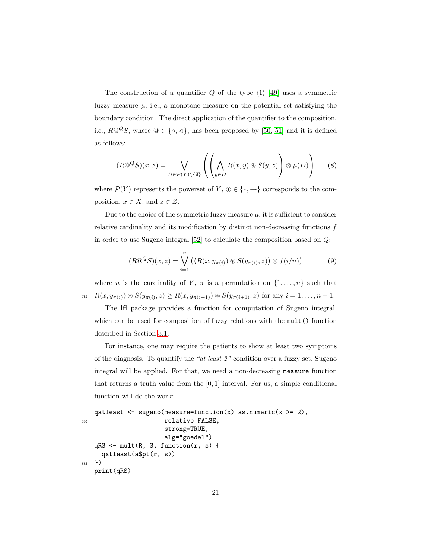The construction of a quantifier  $Q$  of the type  $\langle 1 \rangle$  [\[49\]](#page-65-5) uses a symmetric fuzzy measure  $\mu$ , i.e., a monotone measure on the potential set satisfying the boundary condition. The direct application of the quantifier to the composition, i.e.,  $R@^QS$ , where  $@ \in \{\circ, \lessdot\}$ , has been proposed by [\[50,](#page-65-6) [51\]](#page-65-7) and it is defined as follows:

<span id="page-20-0"></span>
$$
(R@^{\mathcal{Q}}S)(x,z) = \bigvee_{D \in \mathcal{P}(Y) \setminus \{\emptyset\}} \left( \left( \bigwedge_{y \in D} R(x,y) \circledast S(y,z) \right) \otimes \mu(D) \right) \tag{8}
$$

where  $\mathcal{P}(Y)$  represents the powerset of *Y*, ⊛  $\in \{*, \to\}$  corresponds to the composition,  $x \in X$ , and  $z \in Z$ .

Due to the choice of the symmetric fuzzy measure  $\mu$ , it is sufficient to consider relative cardinality and its modification by distinct non-decreasing functions *f* in order to use Sugeno integral [\[52\]](#page-66-0) to calculate the composition based on *Q*:

<span id="page-20-1"></span>
$$
(R@^{\mathcal{Q}}S)(x,z) = \bigvee_{i=1}^{n} \left( \left( R(x, y_{\pi(i)}) \circledast S(y_{\pi(i)}, z) \right) \otimes f(i/n) \right) \tag{9}
$$

where *n* is the cardinality of *Y*,  $\pi$  is a permutation on  $\{1, \ldots, n\}$  such that 375  $R(x, y_{\pi(i)}) \otimes S(y_{\pi(i)}, z) \ge R(x, y_{\pi(i+1)}) \otimes S(y_{\pi(i+1)}, z)$  for any  $i = 1, ..., n-1$ .

The **lfl** package provides a function for computation of Sugeno integral, which can be used for composition of fuzzy relations with the mult() function described in Section [3.1.](#page-14-1)

For instance, one may require the patients to show at least two symptoms of the diagnosis. To quantify the *"at least 2"* condition over a fuzzy set, Sugeno integral will be applied. For that, we need a non-decreasing measure function that returns a truth value from the [0*,* 1] interval. For us, a simple conditional function will do the work:

```
qatleast \leq sugeno(measure=function(x) as.numeric(x >= 2),
380 relative=FALSE,
                     strong=TRUE,
                     alg="goedel")
   qRS <- mult(R, S, function(r, s) {
     qatleast(a$pt(r, s))
385 })
   print(qRS)
```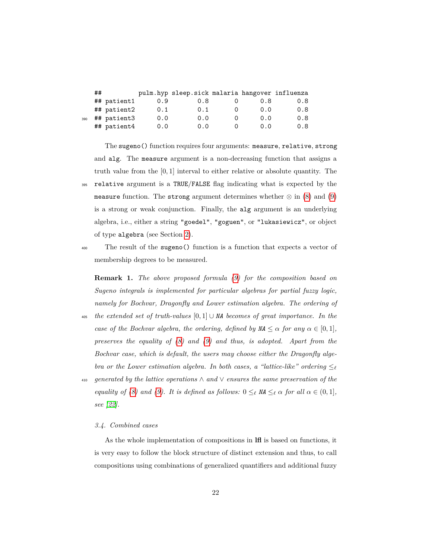|     | ## |             |     | pulm.hyp sleep.sick malaria hangover influenza |      |     |
|-----|----|-------------|-----|------------------------------------------------|------|-----|
|     |    | ## patient1 | 0.9 | 0.8                                            | 0.8  | 0.8 |
|     |    | ## patient2 | 0.1 | 0.1                                            | 0.0  | 0.8 |
| 390 |    | ## patient3 | 0.0 | 0.0                                            | 0.0  | 0.8 |
|     |    | ## patient4 | 0.0 | 0.0                                            | 0. O | 0.8 |

The sugeno() function requires four arguments: measure, relative, strong and alg. The measure argument is a non-decreasing function that assigns a truth value from the [0*,* 1] interval to either relative or absolute quantity. The <sup>395</sup> relative argument is a TRUE/FALSE flag indicating what is expected by the measure function. The strong argument determines whether  $\otimes$  in [\(8\)](#page-20-0) and [\(9\)](#page-20-1) is a strong or weak conjunction. Finally, the alg argument is an underlying algebra, i.e., either a string "goedel", "goguen", or "lukasiewicz", or object of type algebra (see Section [2\)](#page-5-0).

<sup>400</sup> The result of the sugeno() function is a function that expects a vector of membership degrees to be measured.

**Remark 1.** *The above proposed formula [\(9\)](#page-20-1) for the composition based on Sugeno integrals is implemented for particular algebras for partial fuzzy logic, namely for Bochvar, Dragonfly and Lower estimation algebra. The ordering of*

- <sup>405</sup> *the extended set of truth-values* [0*,* 1] ∪ *NA becomes of great importance. In the case of the Bochvar algebra, the ordering, defined by*  $\mathsf{M} \leq \alpha$  *for any*  $\alpha \in [0,1]$ *, preserves the equality of [\(8\)](#page-20-0) and [\(9\)](#page-20-1) and thus, is adopted. Apart from the Bochvar case, which is default, the users may choose either the Dragonfly algebra or the Lower estimation algebra. In both cases, a "lattice-like" ordering*  $\leq_{\ell}$
- <sup>410</sup> *generated by the lattice operations* ∧ *and* ∨ *ensures the same preservation of the equality of [\(8\)](#page-20-0)* and [\(9\)](#page-20-1). It is defined as follows:  $0 \leq_{\ell} M \leq_{\ell} \alpha$  for all  $\alpha \in (0,1]$ *, see [\[22\]](#page-62-7).*

#### *3.4. Combined cases*

As the whole implementation of compositions in **lfl** is based on functions, it is very easy to follow the block structure of distinct extension and thus, to call compositions using combinations of generalized quantifiers and additional fuzzy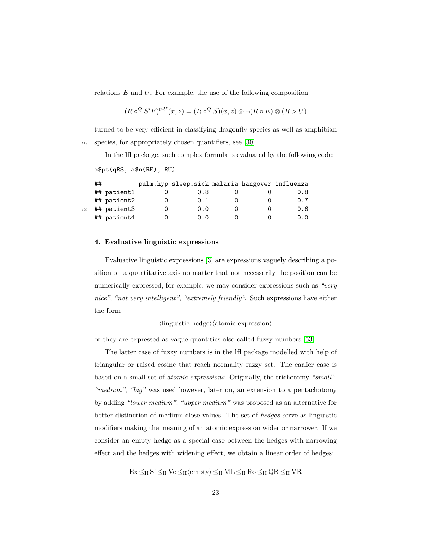relations *E* and *U*. For example, the use of the following composition:

$$
(R \circ^Q S' E)^{\triangleright U}(x, z) = (R \circ^Q S)(x, z) \otimes \neg (R \circ E) \otimes (R \triangleright U)
$$

turned to be very efficient in classifying dragonfly species as well as amphibian <sup>415</sup> species, for appropriately chosen quantifiers, see [\[30\]](#page-63-7).

In the **lfl** package, such complex formula is evaluated by the following code:

a\$pt(qRS, a\$n(RE), RU)

|     | ## |             | pulm.hyp sleep.sick malaria hangover influenza |  |     |
|-----|----|-------------|------------------------------------------------|--|-----|
|     |    | ## patient1 | 0.8                                            |  | 0.8 |
|     |    | ## patient2 | 0.1                                            |  | 0.7 |
| 420 |    | ## patient3 | 0.0                                            |  | 0.6 |
|     |    | ## patient4 | 0. O                                           |  | 0.0 |

#### <span id="page-22-0"></span>**4. Evaluative linguistic expressions**

Evaluative linguistic expressions [\[3\]](#page-60-2) are expressions vaguely describing a position on a quantitative axis no matter that not necessarily the position can be numerically expressed, for example, we may consider expressions such as *"very nice"*, *"not very intelligent"*, *"extremely friendly"*. Such expressions have either the form

 $\langle$ linguistic hedge $\rangle$  $\langle$ atomic expression $\rangle$ 

or they are expressed as vague quantities also called fuzzy numbers [\[53\]](#page-66-1).

The latter case of fuzzy numbers is in the **lfl** package modelled with help of triangular or raised cosine that reach normality fuzzy set. The earlier case is based on a small set of *atomic expressions*. Originally, the trichotomy *"small"*, *"medium"*, *"big"* was used however, later on, an extension to a pentachotomy by adding *"lower medium"*, *"upper medium"* was proposed as an alternative for better distinction of medium-close values. The set of *hedges* serve as linguistic modifiers making the meaning of an atomic expression wider or narrower. If we consider an empty hedge as a special case between the hedges with narrowing effect and the hedges with widening effect, we obtain a linear order of hedges:

 $Ex \leq_H Si \leq_H Ve \leq_H \langle empty \rangle \leq_H ML \leq_H Ro \leq_H QR \leq_H VR$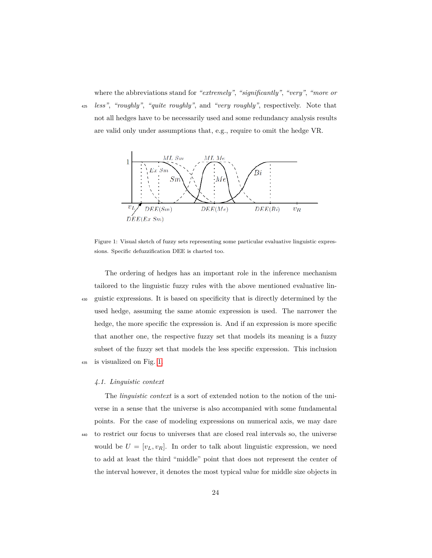where the abbreviations stand for *"extremely"*, *"significantly"*, *"very"*, *"more or*

<sup>425</sup> *less"*, *"roughly"*, *"quite roughly"*, and *"very roughly"*, respectively. Note that not all hedges have to be necessarily used and some redundancy analysis results are valid only under assumptions that, e.g., require to omit the hedge VR.

<span id="page-23-0"></span>

Figure 1: Visual sketch of fuzzy sets representing some particular evaluative linguistic expressions. Specific defuzzification DEE is charted too.

The ordering of hedges has an important role in the inference mechanism tailored to the linguistic fuzzy rules with the above mentioned evaluative lin-<sup>430</sup> guistic expressions. It is based on specificity that is directly determined by the used hedge, assuming the same atomic expression is used. The narrower the hedge, the more specific the expression is. And if an expression is more specific that another one, the respective fuzzy set that models its meaning is a fuzzy subset of the fuzzy set that models the less specific expression. This inclusion <sup>435</sup> is visualized on Fig. [1.](#page-23-0)

#### <span id="page-23-1"></span>*4.1. Linguistic context*

The *linguistic context* is a sort of extended notion to the notion of the universe in a sense that the universe is also accompanied with some fundamental points. For the case of modeling expressions on numerical axis, we may dare <sup>440</sup> to restrict our focus to universes that are closed real intervals so, the universe would be  $U = [v_L, v_R]$ . In order to talk about linguistic expression, we need to add at least the third "middle" point that does not represent the center of the interval however, it denotes the most typical value for middle size objects in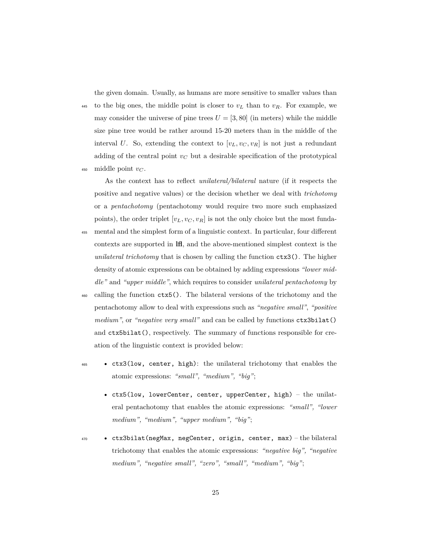the given domain. Usually, as humans are more sensitive to smaller values than

445 to the big ones, the middle point is closer to  $v_L$  than to  $v_R$ . For example, we may consider the universe of pine trees  $U = [3, 80]$  (in meters) while the middle size pine tree would be rather around 15-20 meters than in the middle of the interval *U*. So, extending the context to  $[v_L, v_C, v_R]$  is not just a redundant adding of the central point  $v_C$  but a desirable specification of the prototypical <sup>450</sup> middle point *v<sup>C</sup>* .

As the context has to reflect *unilateral/bilateral* nature (if it respects the positive and negative values) or the decision whether we deal with *trichotomy* or a *pentachotomy* (pentachotomy would require two more such emphasized points), the order triplet  $[v_L, v_C, v_R]$  is not the only choice but the most funda-

- <sup>455</sup> mental and the simplest form of a linguistic context. In particular, four different contexts are supported in **lfl**, and the above-mentioned simplest context is the *unilateral trichotomy* that is chosen by calling the function ctx3(). The higher density of atomic expressions can be obtained by adding expressions *"lower middle"* and *"upper middle"*, which requires to consider *unilateral pentachotomy* by
- <sup>460</sup> calling the function ctx5(). The bilateral versions of the trichotomy and the pentachotomy allow to deal with expressions such as *"negative small"*, *"positive medium"*, or *"negative very small"* and can be called by functions ctx3bilat() and ctx5bilat(), respectively. The summary of functions responsible for creation of the linguistic context is provided below:
- <sup>465</sup> ctx3(low, center, high): the unilateral trichotomy that enables the atomic expressions: *"small", "medium", "big"*;
	- ctx5(low, lowerCenter, center, upperCenter, high) the unilateral pentachotomy that enables the atomic expressions: *"small", "lower medium", "medium", "upper medium", "big"*;
- <sup>470</sup> ctx3bilat(negMax, negCenter, origin, center, max) the bilateral trichotomy that enables the atomic expressions: *"negative big", "negative medium", "negative small", "zero", "small", "medium", "big"*;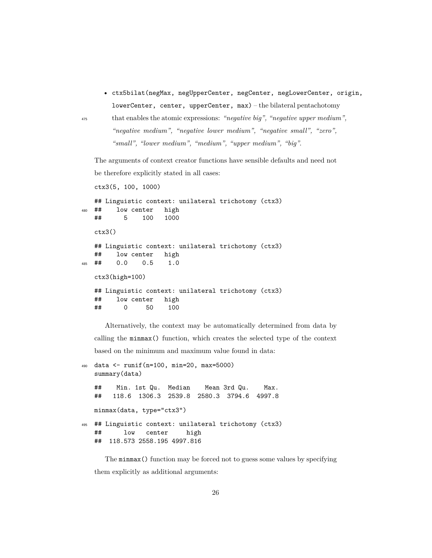• ctx5bilat(negMax, negUpperCenter, negCenter, negLowerCenter, origin, lowerCenter, center, upperCenter, max) – the bilateral pentachotomy

<sup>475</sup> that enables the atomic expressions: *"negative big", "negative upper medium", "negative medium", "negative lower medium", "negative small", "zero", "small", "lower medium", "medium", "upper medium", "big"*.

The arguments of context creator functions have sensible defaults and need not be therefore explicitly stated in all cases:

```
ctx3(5, 100, 1000)
  ## Linguistic context: unilateral trichotomy (ctx3)
480 ## low center high
  ## 5 100 1000
  ctx3()
  ## Linguistic context: unilateral trichotomy (ctx3)
   ## low center high
485 ## 0.0 0.5 1.0
  ctx3(high=100)
  ## Linguistic context: unilateral trichotomy (ctx3)
  ## low center high
  ## 0 50 100
```
Alternatively, the context may be automatically determined from data by calling the minmax() function, which creates the selected type of the context based on the minimum and maximum value found in data:

```
490 data <- runif(n=100, min=20, max=5000)
   summary(data)
   ## Min. 1st Qu. Median Mean 3rd Qu. Max.
   ## 118.6 1306.3 2539.8 2580.3 3794.6 4997.8
   minmax(data, type="ctx3")
495 ## Linguistic context: unilateral trichotomy (ctx3)
   ## low center high
   ## 118.573 2558.195 4997.816
```
The minmax() function may be forced not to guess some values by specifying them explicitly as additional arguments: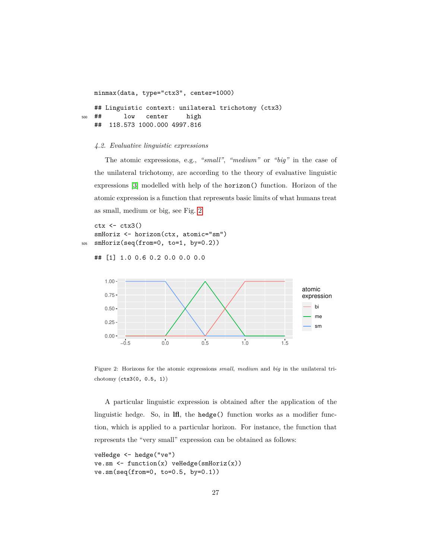```
minmax(data, type="ctx3", center=1000)
   ## Linguistic context: unilateral trichotomy (ctx3)
500 ## low center high
   ## 118.573 1000.000 4997.816
```
#### <span id="page-26-1"></span>*4.2. Evaluative linguistic expressions*

The atomic expressions, e.g., *"small"*, *"medium"* or *"big"* in the case of the unilateral trichotomy, are according to the theory of evaluative linguistic expressions [\[3\]](#page-60-2) modelled with help of the horizon() function. Horizon of the atomic expression is a function that represents basic limits of what humans treat as small, medium or big, see Fig. [2.](#page-26-0)

 $ctx < - ctx3()$ smHoriz <- horizon(ctx, atomic="sm") <sup>505</sup> smHoriz(seq(from=0, to=1, by=0.2))

## [1] 1.0 0.6 0.2 0.0 0.0 0.0

<span id="page-26-0"></span>

Figure 2: Horizons for the atomic expressions *small*, *medium* and *big* in the unilateral trichotomy (ctx3(0, 0.5, 1))

A particular linguistic expression is obtained after the application of the linguistic hedge. So, in **lfl**, the hedge() function works as a modifier function, which is applied to a particular horizon. For instance, the function that represents the "very small" expression can be obtained as follows:

```
veHedge <- hedge("ve")
ve.sm \le function(x) veHedge(smHoriz(x))
ve.sm(seq(from=0, to=0.5, by=0.1))
```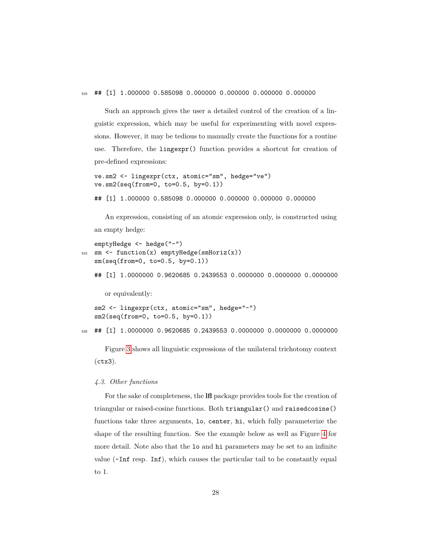<sup>510</sup> ## [1] 1.000000 0.585098 0.000000 0.000000 0.000000 0.000000

Such an approach gives the user a detailed control of the creation of a linguistic expression, which may be useful for experimenting with novel expressions. However, it may be tedious to manually create the functions for a routine use. Therefore, the lingexpr() function provides a shortcut for creation of pre-defined expressions:

```
ve.sm2 <- lingexpr(ctx, atomic="sm", hedge="ve")
ve.sm2(seq(from=0, to=0.5, by=0.1))
```
## [1] 1.000000 0.585098 0.000000 0.000000 0.000000 0.000000

An expression, consisting of an atomic expression only, is constructed using an empty hedge:

```
emptyHedge <- hedge("-")
515 \text{sm} \leftarrow \text{function}(x) emptyHedge(smHoriz(x))
   sm(seq(from=0, to=0.5, by=0.1))
   ## [1] 1.0000000 0.9620685 0.2439553 0.0000000 0.0000000 0.0000000
      or equivalently:
   sm2 <- lingexpr(ctx, atomic="sm", hedge="-")
   sm2(seq(from=0, to=0.5, by=0.1))
520 ## [1] 1.0000000 0.9620685 0.2439553 0.0000000 0.0000000 0.0000000
```
Figure [3](#page-28-0) shows all linguistic expressions of the unilateral trichotomy context (ctx3).

### *4.3. Other functions*

For the sake of completeness, the **lfl** package provides tools for the creation of triangular or raised-cosine functions. Both triangular() and raisedcosine() functions take three arguments, lo, center, hi, which fully parameterize the shape of the resulting function. See the example below as well as Figure [4](#page-29-0) for more detail. Note also that the lo and hi parameters may be set to an infinite value (-Inf resp. Inf), which causes the particular tail to be constantly equal to 1.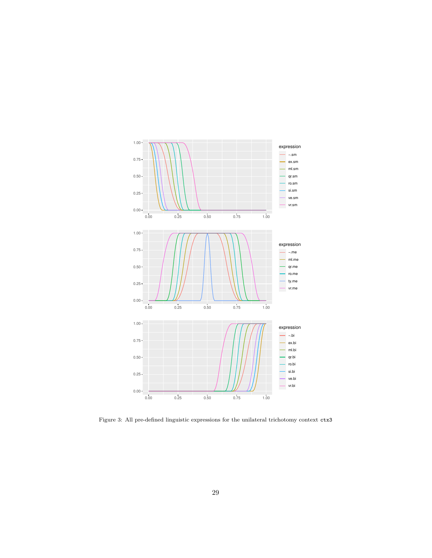<span id="page-28-0"></span>

Figure 3: All pre-defined linguistic expressions for the unilateral trichotomy context ctx3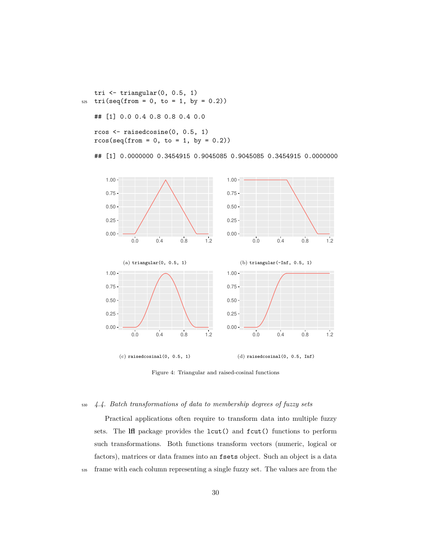tri  $\leftarrow$  triangular $(0, 0.5, 1)$  $525$  tri(seq(from = 0, to = 1, by = 0.2)) ## [1] 0.0 0.4 0.8 0.8 0.4 0.0 rcos <- raisedcosine(0, 0.5, 1)

 $r\cos(\sec(from = 0, to = 1, by = 0.2))$ 

## [1] 0.0000000 0.3454915 0.9045085 0.9045085 0.3454915 0.0000000

<span id="page-29-0"></span>

Figure 4: Triangular and raised-cosinal functions

### <span id="page-29-1"></span><sup>530</sup> *4.4. Batch transformations of data to membership degrees of fuzzy sets*

Practical applications often require to transform data into multiple fuzzy sets. The **lfl** package provides the lcut() and fcut() functions to perform such transformations. Both functions transform vectors (numeric, logical or factors), matrices or data frames into an fsets object. Such an object is a data <sup>535</sup> frame with each column representing a single fuzzy set. The values are from the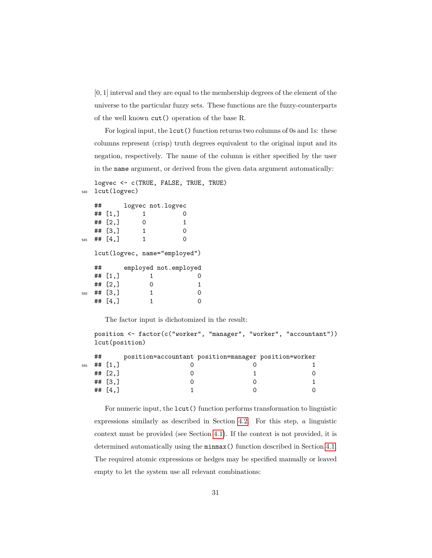[0*,* 1] interval and they are equal to the membership degrees of the element of the universe to the particular fuzzy sets. These functions are the fuzzy-counterparts of the well known cut() operation of the base R.

For logical input, the lcut() function returns two columns of 0s and 1s: these columns represent (crisp) truth degrees equivalent to the original input and its negation, respectively. The name of the column is either specified by the user in the name argument, or derived from the given data argument automatically:

```
logvec <- c(TRUE, FALSE, TRUE, TRUE)
540 lcut(logvec)
```

```
## logvec not.logvec
  \# [1,] 1 0
  \## [2,] 0 1
  \## [3,] 1 0
 \## [4,] 1 0
 lcut(logvec, name="employed")
  ## employed not.employed
  ## [1,] 1 0
  \# [2,] 0 1
550 ## [3,] 1 0
 \## [4,] 1 0
```
The factor input is dichotomized in the result:

```
position <- factor(c("worker", "manager", "worker", "accountant"))
lcut(position)
```

|     | ## |                        | position=accountant position=manager position=worker |  |
|-----|----|------------------------|------------------------------------------------------|--|
| 555 |    | $\#$ # [1.]            |                                                      |  |
|     |    | ## $[2,1]$             |                                                      |  |
|     |    | ## $\left[ 3, \right]$ |                                                      |  |
|     |    | $##$ [4.]              |                                                      |  |
|     |    |                        |                                                      |  |

For numeric input, the lcut() function performs transformation to linguistic expressions similarly as described in Section [4.2.](#page-26-1) For this step, a linguistic context must be provided (see Section [4.1\)](#page-23-1). If the context is not provided, it is determined automatically using the minmax() function described in Section [4.1.](#page-23-1) The required atomic expressions or hedges may be specified manually or leaved empty to let the system use all relevant combinations: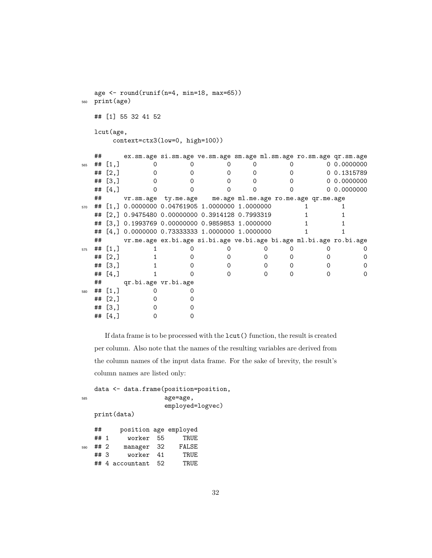```
age <- round(runif(n=4, min=18, max=65))
560 print(age)
  ## [1] 55 32 41 52
  lcut(age,
     context=ctx3(low=0, high=100))
  ## ex.sm.age si.sm.age ve.sm.age sm.age ml.sm.age ro.sm.age qr.sm.age
565 ## [1,] 0 0 0 0 0 0 0.0000000
  ## [2,] 0 0 0 0 0 0 0.1315789
  ## [3,] 0 0 0 0 0 0 0.0000000
  ## [4,] 0 0 0 0 0 0 0.0000000
  ## vr.sm.age ty.me.age me.age ml.me.age ro.me.age qr.me.age
570 ## [1,] 0.0000000 0.04761905 1.0000000 1.0000000 1 1
  ## [2,] 0.9475480 0.00000000 0.3914128 0.7993319 1 1
  ## [3,] 0.1993769 0.00000000 0.9859853 1.0000000 1 1
  ## [4,] 0.0000000 0.73333333 1.0000000 1.0000000 1 1
  ## vr.me.age ex.bi.age si.bi.age ve.bi.age bi.age ml.bi.age ro.bi.age
575 ## [1,] 1 0 0 0 0 0 0 0
  ## [2,] 1 0 0 0 0 0 0
  ## [3,] 1 0 0 0 0 0 0
  ## [4,] 1 0 0 0 0 0 0
  ## qr.bi.age vr.bi.age
580 ## [1,] 0 0
  ## [2,] 0 0
  \# [3,] 0 0
  \# \# [4,] 0 0
```
If data frame is to be processed with the lcut() function, the result is created per column. Also note that the names of the resulting variables are derived from the column names of the input data frame. For the sake of brevity, the result's column names are listed only:

data <- data.frame(position=position, <sup>585</sup> age=age, employed=logvec)

print(data)

|     | ##                | position age employed |    |       |
|-----|-------------------|-----------------------|----|-------|
|     | ## $1$            | worker 55             |    | TRUE  |
| 590 | ## 2              | manager 32            |    | FALSE |
|     | ## $\overline{3}$ | worker                | 41 | TRUE  |
|     |                   | ## 4 accountant       | 52 | TRUE. |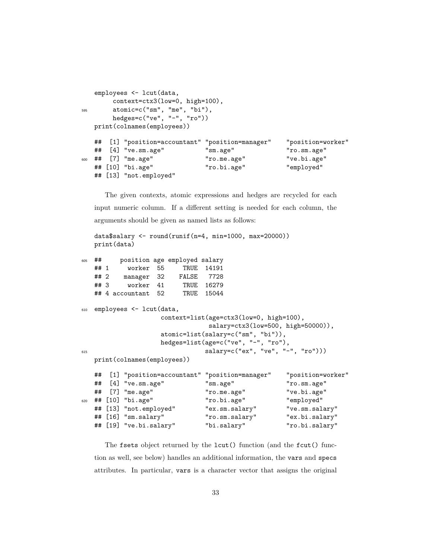```
employees <- lcut(data,
       context=ctx3(low=0, high=100),
595 atomic=c("sm", "me", "bi"),
      hedges=c("ve", "-", "ro"))
  print(colnames(employees))
  ## [1] "position=accountant" "position=manager" "position=worker"
  ## [4] "ve.sm.age" "sm.age" "ro.sm.age"
600 ## [7] "me.age" "ro.me.age" "ve.bi.age"
  ## [10] "bi.age" "ro.bi.age" "employed"
  ## [13] "not.employed"
```
The given contexts, atomic expressions and hedges are recycled for each input numeric column. If a different setting is needed for each column, the arguments should be given as named lists as follows:

```
data$salary <- round(runif(n=4, min=1000, max=20000))
   print(data)
605 ## position age employed salary
```

```
## 1 worker 55 TRUE 14191
  ## 2 manager 32 FALSE 7728
  ## 3 worker 41 TRUE 16279
  ## 4 accountant 52 TRUE 15044
610 employees <- lcut(data,
                 context=list(age=ctx3(low=0, high=100),
                           salary=ctx3(low=500, high=50000)),
                 atomic=list(salary=c("sm", "bi")),
                 hedges=list(age=c("ve", "-", "ro"),
615 salary=c("ex", "ve", "-", "ro")))
  print(colnames(employees))
  ## [1] "position=accountant" "position=manager" "position=worker"
  ## [4] "ve.sm.age" "sm.age" "ro.sm.age"
  ## [7] "me.age" "ro.me.age" "ve.bi.age"
620 ## [10] "bi.age" "ro.bi.age" "employed"
  ## [13] "not.employed" "ex.sm.salary" "ve.sm.salary"
  ## [16] "sm.salary" "ro.sm.salary" "ex.bi.salary"
  ## [19] "ve.bi.salary" "bi.salary" "ro.bi.salary"
```
The fsets object returned by the lcut() function (and the fcut() function as well, see below) handles an additional information, the vars and specs attributes. In particular, vars is a character vector that assigns the original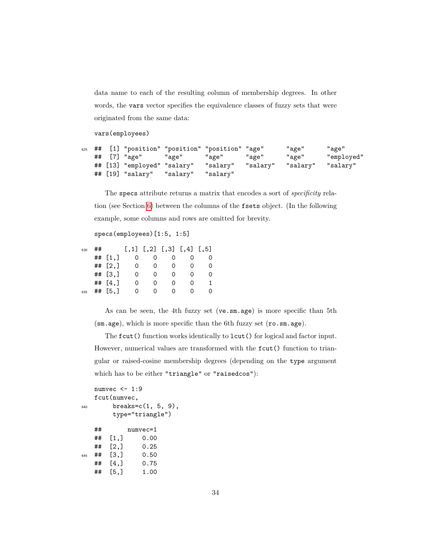data name to each of the resulting column of membership degrees. In other words, the vars vector specifies the equivalence classes of fuzzy sets that were originated from the same data:

vars(employees)

```
625 ## [1] "position" "position" "position" "age" "age" "age"
  ## [7] "age" "age" "age" "age" "age" "employed"
  ## [13] "employed" "salary" "salary" "salary" "salary" "salary"
  ## [19] "salary" "salary" "salary"
```
The specs attribute returns a matrix that encodes a sort of *specificity* relation (see Section [6\)](#page-42-0) between the columns of the fsets object. (In the following example, some columns and rows are omitted for brevity.

```
specs(employees)[1:5, 1:5]
```

| 630 | ## |                    |                   |   | $[, 1]$ $[, 2]$ $[, 3]$ $[, 4]$ $[, 5]$ |               |  |
|-----|----|--------------------|-------------------|---|-----------------------------------------|---------------|--|
|     |    | ## $[1,]$          |                   |   |                                         |               |  |
|     |    | ## $[2,]$          | $\mathcal{O}$     |   | $^{(1)}$                                |               |  |
|     |    | $##$ [3.]          |                   |   |                                         |               |  |
|     |    | ## $[4,]$          | $\mathbf{\Omega}$ | 0 | O)                                      | $\mathcal{L}$ |  |
| 635 | ## | $\left[5, \right]$ |                   |   |                                         |               |  |

As can be seen, the 4th fuzzy set (ve.sm.age) is more specific than 5th (sm.age), which is more specific than the 6th fuzzy set (ro.sm.age).

The fcut() function works identically to lcut() for logical and factor input. However, numerical values are transformed with the  $fcut()$  function to triangular or raised-cosine membership degrees (depending on the type argument which has to be either "triangle" or "raisedcos"):

```
numvec <- 1:9
  fcut(numvec,
640 breaks=c(1, 5, 9),
       type="triangle")
   ## numvec=1
   ## [1,] 0.00
   ## [2,] 0.25
645 ## [3,] 0.50
  ## [4,] 0.75
  ## [5,] 1.00
```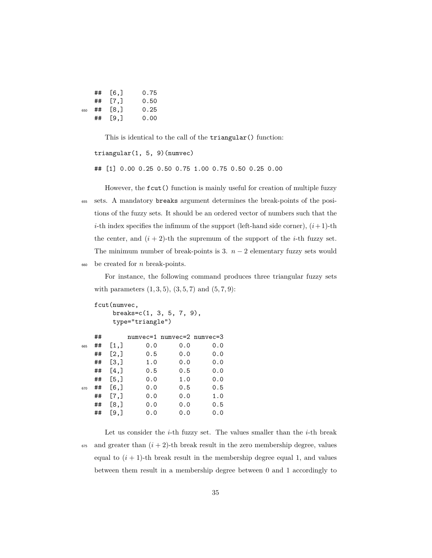|     | ## [6.]   | 0.75 |
|-----|-----------|------|
|     | $##$ [7.] | 0.50 |
| 650 | ## [8.]   | 0.25 |
|     | ## Г9.1   | 0.00 |

This is identical to the call of the triangular() function:

```
triangular(1, 5, 9)(numvec)
```
## [1] 0.00 0.25 0.50 0.75 1.00 0.75 0.50 0.25 0.00

However, the fcut() function is mainly useful for creation of multiple fuzzy <sup>655</sup> sets. A mandatory breaks argument determines the break-points of the positions of the fuzzy sets. It should be an ordered vector of numbers such that the *i*-th index specifies the infimum of the support (left-hand side corner),  $(i+1)$ -th the center, and  $(i + 2)$ -th the supremum of the support of the *i*-th fuzzy set. The minimum number of break-points is 3.  $n-2$  elementary fuzzy sets would <sup>660</sup> be created for *n* break-points.

For instance, the following command produces three triangular fuzzy sets with parameters  $(1, 3, 5), (3, 5, 7)$  and  $(5, 7, 9)$ :

```
fcut(numvec,
     breaks=c(1, 3, 5, 7, 9),
     type="triangle")
  ## numvec=1 numvec=2 numvec=3
665 ## [1,] 0.0 0.0 0.0
  ## [2,] 0.5 0.0 0.0
  ## [3,] 1.0 0.0 0.0
  ## [4,] 0.5 0.5 0.0
  ## [5,] 0.0 1.0 0.0
670 ## [6,] 0.0 0.5 0.5
  ## [7,] 0.0 0.0 1.0
  ## [8,] 0.0 0.0 0.5
```
## [9,] 0.0 0.0 0.0

Let us consider the *i*-th fuzzy set. The values smaller than the *i*-th break  $675$  and greater than  $(i + 2)$ -th break result in the zero membership degree, values equal to  $(i + 1)$ -th break result in the membership degree equal 1, and values between them result in a membership degree between 0 and 1 accordingly to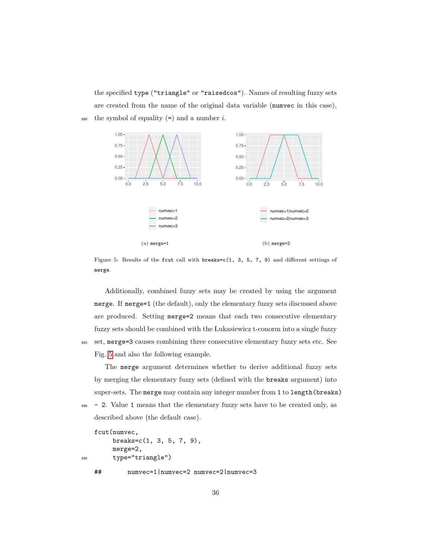the specified type ("triangle" or "raisedcos"). Names of resulting fuzzy sets are created from the name of the original data variable (numvec in this case),  $\epsilon_{680}$  the symbol of equality  $(=)$  and a number *i*.

<span id="page-35-0"></span>

Figure 5: Results of the fcut call with breaks=c(1, 3, 5, 7, 9) and different settings of merge.

Additionally, combined fuzzy sets may be created by using the argument merge. If merge=1 (the default), only the elementary fuzzy sets discussed above are produced. Setting merge=2 means that each two consecutive elementary fuzzy sets should be combined with the Lukasiewicz t-conorm into a single fuzzy <sup>685</sup> set, merge=3 causes combining three consecutive elementary fuzzy sets etc. See Fig. [5](#page-35-0) and also the following example.

The merge argument determines whether to derive additional fuzzy sets by merging the elementary fuzzy sets (defined with the breaks argument) into super-sets. The merge may contain any integer number from 1 to length(breaks)

 $\frac{690}{2}$  - 2. Value 1 means that the elementary fuzzy sets have to be created only, as described above (the default case).

```
fcut(numvec,
       breaks=c(1, 3, 5, 7, 9),
       merge=2,
695 type="triangle")
   ## numvec=1|numvec=2 numvec=2|numvec=3
```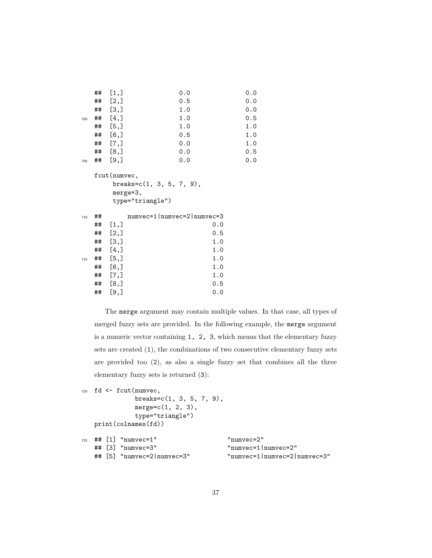|     | ## | [1,]                 | 0.0 | 0.0 |
|-----|----|----------------------|-----|-----|
|     | ## | [2,]                 | 0.5 | 0.0 |
|     | ## | $\left[3, \right]$   | 1.0 | 0.0 |
| 700 | ## | [4,]                 | 1.0 | 0.5 |
|     | ## | [5,]                 | 1.0 | 1.0 |
|     | ## | [6,]                 | 0.5 | 1.0 |
|     | ## | $\lbrack 7, \rbrack$ | 0.0 | 1.0 |
|     | ## | [8,]                 | 0.0 | 0.5 |
| 705 | ## | [9,]                 | 0.0 | 0.0 |

fcut(numvec,  $breaks=c(1, 3, 5, 7, 9),$ merge=3, type="triangle")

| 710 | ## |                      | $numvec=1$   $numvec=2$   $numvec=3$ |
|-----|----|----------------------|--------------------------------------|
|     | ## | [1,]                 | 0.0                                  |
|     | ## | [2,]                 | 0.5                                  |
|     | ## | [3,]                 | 1.0                                  |
|     | ## | [4,]                 | 1.0                                  |
| 715 | ## | [5,]                 | 1.0                                  |
|     | ## | [6,]                 | 1.0                                  |
|     | ## | $\lbrack 7, \rbrack$ | 1.0                                  |
|     | ## | [8,]                 | 0.5                                  |
|     | ## | [9,]                 | 0.0                                  |

The merge argument may contain multiple values. In that case, all types of merged fuzzy sets are provided. In the following example, the merge argument is a numeric vector containing 1, 2, 3, which means that the elementary fuzzy sets are created (1), the combinations of two consecutive elementary fuzzy sets are provided too (2), as also a single fuzzy set that combines all the three elementary fuzzy sets is returned (3):

```
720 fd <- fcut(numvec,
            breaks=c(1, 3, 5, 7, 9),
            merge=c(1, 2, 3),type="triangle")
  print(colnames(fd))
725 ## [1] "numvec=1" "numvec=2"
  ## [3] "numvec=3" "numvec=1|numvec=2"
```

```
## [5] "numvec=2|numvec=3" "numvec=1|numvec=2|numvec=3"
```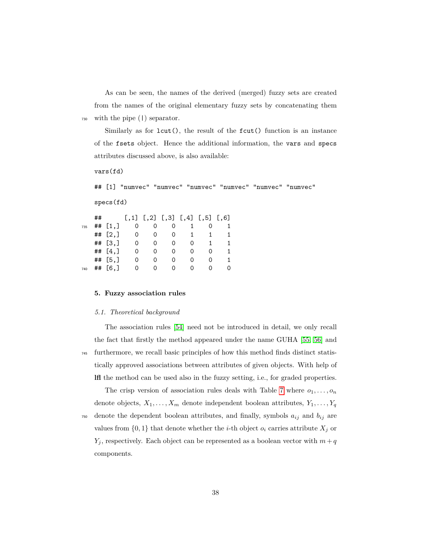As can be seen, the names of the derived (merged) fuzzy sets are created from the names of the original elementary fuzzy sets by concatenating them <sup>730</sup> with the pipe (|) separator.

Similarly as for lcut(), the result of the fcut() function is an instance of the fsets object. Hence the additional information, the vars and specs attributes discussed above, is also available:

vars(fd)

## [1] "numvec" "numvec" "numvec" "numvec" "numvec" "numvec" specs(fd)

|     | ## |           |          |          |          | $[,1]$ $[,2]$ $[,3]$ $[,4]$ $[,5]$ $[,6]$ |                   |  |
|-----|----|-----------|----------|----------|----------|-------------------------------------------|-------------------|--|
| 735 |    | ## $[1,]$ |          |          |          |                                           |                   |  |
|     |    | ## $[2,]$ | 0        | 0        | 0        |                                           |                   |  |
|     |    | ## [3, ]  | 0        |          | O        | $\mathcal{L}$                             |                   |  |
|     |    | ## $[4,]$ | O        | O        | O        | O                                         | O                 |  |
|     |    | ## [5, ]  | O        | $\Omega$ | O        | $\mathcal{L}$                             | $\mathbf{\Omega}$ |  |
| 740 |    | ## [6.]   | $\Omega$ |          | $\Omega$ | $\Omega$                                  | $\mathbf{\Omega}$ |  |

#### <span id="page-37-0"></span>**5. Fuzzy association rules**

#### *5.1. Theoretical background*

The association rules [\[54\]](#page-66-2) need not be introduced in detail, we only recall the fact that firstly the method appeared under the name GUHA [\[55,](#page-66-3) [56\]](#page-66-4) and <sup>745</sup> furthermore, we recall basic principles of how this method finds distinct statistically approved associations between attributes of given objects. With help of **lfl** the method can be used also in the fuzzy setting, i.e., for graded properties.

The crisp version of association rules deals with Table [7](#page-38-0) where  $o_1, \ldots, o_n$ denote objects,  $X_1, \ldots, X_m$  denote independent boolean attributes,  $Y_1, \ldots, Y_q$  $750$  denote the dependent boolean attributes, and finally, symbols  $a_{ij}$  and  $b_{ij}$  are

values from  $\{0, 1\}$  that denote whether the *i*-th object  $o_i$  carries attribute  $X_j$  or *Y*<sub>*j*</sub>, respectively. Each object can be represented as a boolean vector with  $m + q$ components.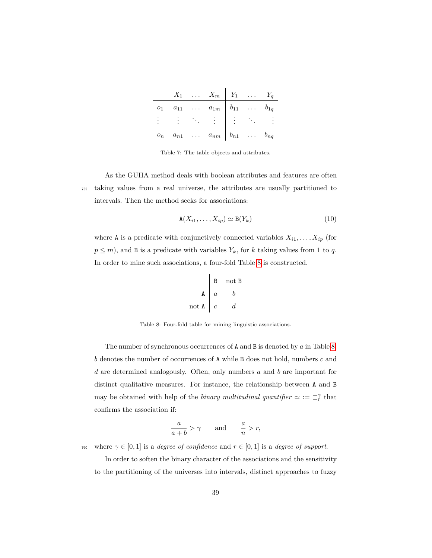<span id="page-38-0"></span>

|  | $X_1$ $X_m$ $Y_1$ $Y_q$                                                                                                                       |  |  |
|--|-----------------------------------------------------------------------------------------------------------------------------------------------|--|--|
|  | $o_1$ $a_{11}$ $a_{1m}$ $b_{11}$ $b_{1q}$                                                                                                     |  |  |
|  | $\frac{1}{2}$ , $\frac{1}{2}$ , $\frac{1}{2}$ , $\frac{1}{2}$ , $\frac{1}{2}$ , $\frac{1}{2}$ , $\frac{1}{2}$ , $\frac{1}{2}$ , $\frac{1}{2}$ |  |  |
|  | $o_n \mid a_{n1} \quad \ldots \quad a_{nm} \mid b_{n1} \quad \ldots \quad b_{nq}$                                                             |  |  |

Table 7: The table objects and attributes.

As the GUHA method deals with boolean attributes and features are often <sup>755</sup> taking values from a real universe, the attributes are usually partitioned to intervals. Then the method seeks for associations:

<span id="page-38-2"></span>
$$
\mathbf{A}(X_{i1},\ldots,X_{ip}) \simeq \mathbf{B}(Y_k) \tag{10}
$$

<span id="page-38-1"></span>where **A** is a predicate with conjunctively connected variables  $X_{i1}, \ldots, X_{ip}$  (for  $p \leq m$ , and **B** is a predicate with variables  $Y_k$ , for *k* taking values from 1 to *q*. In order to mine such associations, a four-fold Table [8](#page-38-1) is constructed.

B not B A *a b* not A *c d*

Table 8: Four-fold table for mining linguistic associations.

The number of synchronous occurrences of A and B is denoted by *a* in Table [8,](#page-38-1) *b* denotes the number of occurrences of A while B does not hold, numbers *c* and *d* are determined analogously. Often, only numbers *a* and *b* are important for distinct qualitative measures. For instance, the relationship between A and B may be obtained with help of the *binary multitudinal quantifier*  $\simeq := \sqsubset_r^{\gamma}$  that confirms the association if:

$$
\frac{a}{a+b} > \gamma \qquad \text{and} \qquad \frac{a}{n} > r,
$$

<sup>760</sup> where  $\gamma \in [0,1]$  is a *degree of confidence* and  $r \in [0,1]$  is a *degree of support*.

In order to soften the binary character of the associations and the sensitivity to the partitioning of the universes into intervals, distinct approaches to fuzzy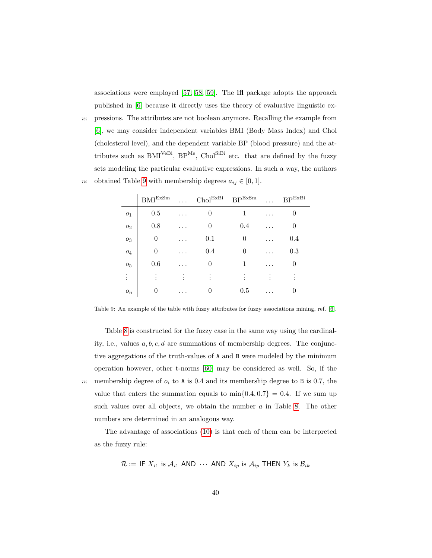associations were employed [\[57,](#page-66-5) [58,](#page-66-6) [59\]](#page-66-7). The **lfl** package adopts the approach published in [\[6\]](#page-61-0) because it directly uses the theory of evaluative linguistic ex-

<sup>765</sup> pressions. The attributes are not boolean anymore. Recalling the example from [\[6\]](#page-61-0), we may consider independent variables BMI (Body Mass Index) and Chol (cholesterol level), and the dependent variable BP (blood pressure) and the attributes such as  $\text{BMI}^{\text{VeBi}}$ ,  $\text{BP}^{\text{Me}}$ ,  $\text{Chol}^{\text{SiBi}}$  etc. that are defined by the fuzzy sets modeling the particular evaluative expressions. In such a way, the authors  $770$  obtained Table [9](#page-39-0) with membership degrees  $a_{ij} \in [0,1]$ .

<span id="page-39-0"></span>

|                | $\mathrm{BMI}^{\mathrm{ExSm}}$ | .        | $\mathrm{Chol}^{\mathrm{ExBi}}$ | $\mathrm{BP}^{\mathrm{ExSm}}$ | .         | $\mathrm{BP}^\mathrm{ExBi}$ |
|----------------|--------------------------------|----------|---------------------------------|-------------------------------|-----------|-----------------------------|
| O <sub>1</sub> | 0.5                            | .        | 0                               | 1                             | .         |                             |
| O <sub>2</sub> | 0.8                            | .        | 0                               | 0.4                           | $\cdot$ . | 0                           |
| $O_3$          | 0                              |          | 0.1                             | $\theta$                      | .         | 0.4                         |
| $O_4$          | 0                              | .        | 0.4                             | $\overline{0}$                | .         | 0.3                         |
| O <sub>5</sub> | 0.6                            |          | 0                               | 1                             | .         | 0                           |
|                |                                |          |                                 |                               |           |                             |
| $o_n$          | 0                              | $\cdots$ | 0                               | 0.5                           |           | 0                           |

Table 9: An example of the table with fuzzy attributes for fuzzy associations mining, ref. [\[6\]](#page-61-0).

Table [8](#page-38-1) is constructed for the fuzzy case in the same way using the cardinality, i.e., values *a, b, c, d* are summations of membership degrees. The conjunctive aggregations of the truth-values of A and B were modeled by the minimum operation however, other t-norms [\[60\]](#page-66-8) may be considered as well. So, if the  $775$  membership degree of  $o_i$  to A is 0.4 and its membership degree to B is 0.7, the value that enters the summation equals to  $\min\{0.4, 0.7\} = 0.4$ . If we sum up such values over all objects, we obtain the number *a* in Table [8.](#page-38-1) The other numbers are determined in an analogous way.

The advantage of associations [\(10\)](#page-38-2) is that each of them can be interpreted as the fuzzy rule:

$$
\mathcal{R} := \mathsf{IF}\ X_{i1} \text{ is } \mathcal{A}_{i1} \text{ AND } \cdots \text{ AND } X_{ip} \text{ is } \mathcal{A}_{ip} \text{ THEN } Y_k \text{ is } \mathcal{B}_{ik}
$$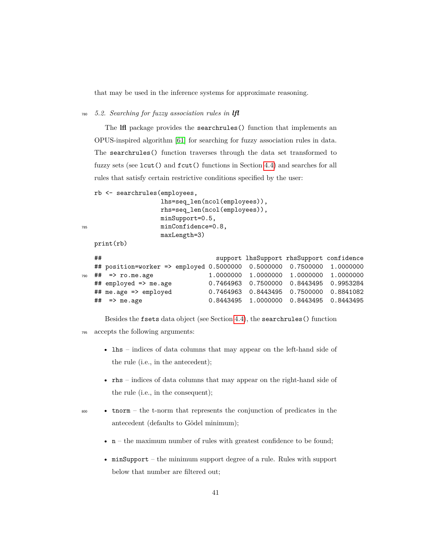that may be used in the inference systems for approximate reasoning.

<sup>780</sup> *5.2. Searching for fuzzy association rules in lfl*

The **lfl** package provides the searchrules() function that implements an OPUS-inspired algorithm [\[61\]](#page-66-9) for searching for fuzzy association rules in data. The searchrules() function traverses through the data set transformed to fuzzy sets (see lcut() and fcut() functions in Section [4.4\)](#page-29-1) and searches for all rules that satisfy certain restrictive conditions specified by the user:

```
rb <- searchrules(employees,
```

```
lhs=seq_len(ncol(employees)),
                  rhs=seq_len(ncol(employees)),
                  minSupport=0.5,
785 minConfidence=0.8,
                  maxLength=3)
```
print(rb)

```
## support lhsSupport rhsSupport confidence
  ## position=worker => employed 0.5000000 0.5000000 0.7500000 1.0000000
790 ## => ro.me.age 1.0000000 1.0000000 1.0000000 1.0000000
  ## employed => me.age 0.7464963 0.7500000 0.8443495 0.9953284
  ## me.age => employed 0.7464963 0.8443495 0.7500000 0.8841082
  ## => me.age 0.8443495 1.0000000 0.8443495 0.8443495
```
Besides the fsets data object (see Section [4.4\)](#page-29-1), the searchrules() function <sup>795</sup> accepts the following arguments:

- lhs indices of data columns that may appear on the left-hand side of the rule (i.e., in the antecedent);
- rhs indices of data columns that may appear on the right-hand side of the rule (i.e., in the consequent);
- 

<sup>800</sup> • tnorm – the t-norm that represents the conjunction of predicates in the antecedent (defaults to Gödel minimum);

- $n -$  the maximum number of rules with greatest confidence to be found;
- minSupport the minimum support degree of a rule. Rules with support below that number are filtered out;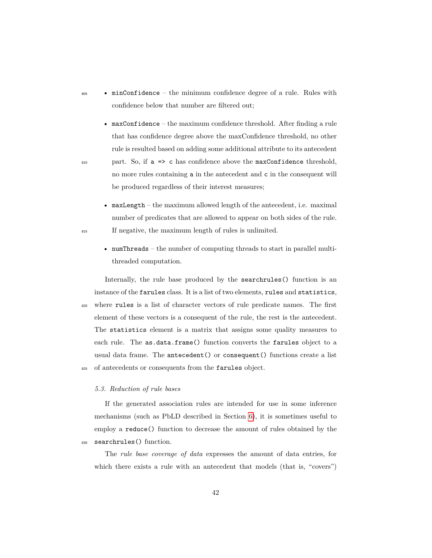- <sup>805</sup> minConfidence the minimum confidence degree of a rule. Rules with confidence below that number are filtered out;
- maxConfidence the maximum confidence threshold. After finding a rule that has confidence degree above the maxConfidence threshold, no other rule is resulted based on adding some additional attribute to its antecedent  $_{810}$  part. So, if  $a \Rightarrow c$  has confidence above the maxConfidence threshold, no more rules containing a in the antecedent and c in the consequent will be produced regardless of their interest measures;
- maxLength the maximum allowed length of the antecedent, i.e. maximal number of predicates that are allowed to appear on both sides of the rule. <sup>815</sup> If negative, the maximum length of rules is unlimited.
	- numThreads the number of computing threads to start in parallel multithreaded computation.

Internally, the rule base produced by the searchrules() function is an instance of the farules class. It is a list of two elements, rules and statistics, <sup>820</sup> where rules is a list of character vectors of rule predicate names. The first element of these vectors is a consequent of the rule, the rest is the antecedent. The statistics element is a matrix that assigns some quality measures to each rule. The as.data.frame() function converts the farules object to a usual data frame. The antecedent() or consequent() functions create a list 825 of antecedents or consequents from the farules object.

#### *5.3. Reduction of rule bases*

If the generated association rules are intended for use in some inference mechanisms (such as PbLD described in Section [6\)](#page-42-0), it is sometimes useful to employ a reduce() function to decrease the amount of rules obtained by the 830 searchrules() function.

The *rule base coverage of data* expresses the amount of data entries, for which there exists a rule with an antecedent that models (that is, "covers")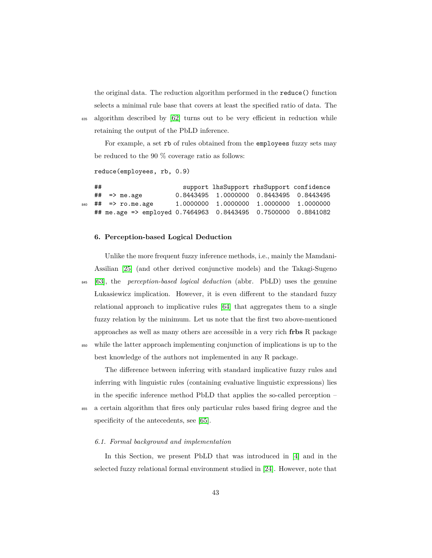the original data. The reduction algorithm performed in the reduce() function selects a minimal rule base that covers at least the specified ratio of data. The <sup>835</sup> algorithm described by [\[62\]](#page-66-10) turns out to be very efficient in reduction while

For example, a set rb of rules obtained from the employees fuzzy sets may be reduced to the 90 % coverage ratio as follows:

```
reduce(employees, rb, 0.9)
```
## support lhsSupport rhsSupport confidence ## => me.age 0.8443495 1.0000000 0.8443495 0.8443495 <sup>840</sup> ## => ro.me.age 1.0000000 1.0000000 1.0000000 1.0000000 ## me.age => employed 0.7464963 0.8443495 0.7500000 0.8841082

#### <span id="page-42-0"></span>**6. Perception-based Logical Deduction**

retaining the output of the PbLD inference.

Unlike the more frequent fuzzy inference methods, i.e., mainly the Mamdani-Assilian [\[25\]](#page-63-2) (and other derived conjunctive models) and the Takagi-Sugeno <sup>845</sup> [\[63\]](#page-67-0), the *perception-based logical deduction* (abbr. PbLD) uses the genuine Lukasiewicz implication. However, it is even different to the standard fuzzy relational approach to implicative rules [\[64\]](#page-67-1) that aggregates them to a single fuzzy relation by the minimum. Let us note that the first two above-mentioned approaches as well as many others are accessible in a very rich **frbs** R package <sup>850</sup> while the latter approach implementing conjunction of implications is up to the

best knowledge of the authors not implemented in any R package.

The difference between inferring with standard implicative fuzzy rules and inferring with linguistic rules (containing evaluative linguistic expressions) lies in the specific inference method PbLD that applies the so-called perception –

<sup>855</sup> a certain algorithm that fires only particular rules based firing degree and the

specificity of the antecedents, see [\[65\]](#page-67-2).

## *6.1. Formal background and implementation*

In this Section, we present PbLD that was introduced in [\[4\]](#page-60-3) and in the selected fuzzy relational formal environment studied in [\[24\]](#page-63-1). However, note that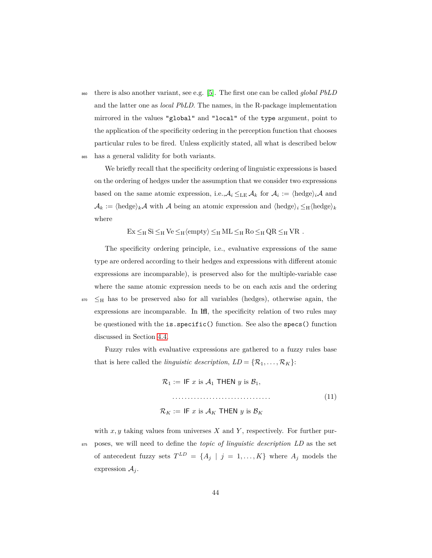<sup>860</sup> there is also another variant, see e.g. [\[5\]](#page-60-4). The first one can be called *global PbLD* and the latter one as *local PbLD*. The names, in the R-package implementation mirrored in the values "global" and "local" of the type argument, point to the application of the specificity ordering in the perception function that chooses particular rules to be fired. Unless explicitly stated, all what is described below <sup>865</sup> has a general validity for both variants.

We briefly recall that the specificity ordering of linguistic expressions is based on the ordering of hedges under the assumption that we consider two expressions based on the same atomic expression, i.e.,  $A_i \leq_{LE} A_k$  for  $A_i := \langle \text{hedge} \rangle_i A$  and  $\mathcal{A}_k := \langle \text{hedge} \rangle_k \mathcal{A}$  with  $\mathcal A$  being an atomic expression and  $\langle \text{hedge} \rangle_i \leq_H \langle \text{hedge} \rangle_k$ where

 $Ex \leq_H Si \leq_H Ve \leq_H \langle empty \rangle \leq_H ML \leq_H Ro \leq_H QR \leq_H VR$ .

The specificity ordering principle, i.e., evaluative expressions of the same type are ordered according to their hedges and expressions with different atomic expressions are incomparable), is preserved also for the multiple-variable case where the same atomic expression needs to be on each axis and the ordering  $\frac{1}{870}$   $\leq$ H has to be preserved also for all variables (hedges), otherwise again, the expressions are incomparable. In **lfl**, the specificity relation of two rules may be questioned with the is.specific() function. See also the specs() function discussed in Section [4.4.](#page-29-1)

Fuzzy rules with evaluative expressions are gathered to a fuzzy rules base that is here called the *linguistic description*,  $LD = \{R_1, \ldots, R_K\}$ :

$$
\mathcal{R}_1 := \text{IF } x \text{ is } \mathcal{A}_1 \text{ THEN } y \text{ is } \mathcal{B}_1,
$$
\n
$$
\dots
$$
\n
$$
\mathcal{R}_K := \text{IF } x \text{ is } \mathcal{A}_K \text{ THEN } y \text{ is } \mathcal{B}_K
$$
\n
$$
(11)
$$

with *x, y* taking values from universes *X* and *Y* , respectively. For further pur-<sup>875</sup> poses, we will need to define the *topic of linguistic description LD* as the set of antecedent fuzzy sets  $T^{LD} = \{A_j | j = 1, ..., K\}$  where  $A_j$  models the expression  $A_j$ .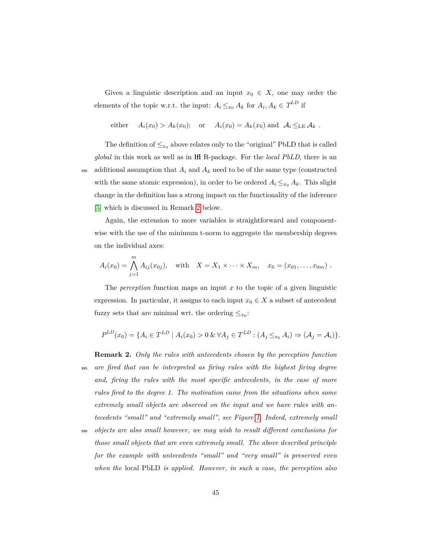Given a linguistic description and an input  $x_0 \in X$ , one may order the elements of the topic w.r.t. the input:  $A_i \leq_{x_0} A_k$  for  $A_i, A_k \in T^{LD}$  if

either 
$$
A_i(x_0) > A_k(x_0)
$$
; or  $A_i(x_0) = A_k(x_0)$  and  $A_i \leq_{\text{LE}} A_k$ .

The definition of  $\leq_{x_0}$  above relates only to the "original" PbLD that is called *global* in this work as well as in **lfl** R-package. For the *local PbLD*, there is an 880 additional assumption that  $A_i$  and  $A_k$  need to be of the same type (constructed with the same atomic expression), in order to be ordered  $A_i \leq_{x_0} A_k$ . This slight change in the definition has a strong impact on the functionality of the inference [\[5\]](#page-60-4) which is discussed in Remark [2](#page-44-0) below.

Again, the extension to more variables is straightforward and componentwise with the use of the minimum t-norm to aggregate the membership degrees on the individual axes:

$$
A_i(x_0) = \bigwedge_{j=1}^m A_{ij}(x_{0j}), \text{ with } X = X_1 \times \cdots \times X_m, x_0 = (x_{01}, \ldots, x_{0m}).
$$

The *perception* function maps an input *x* to the topic of a given linguistic expression. In particular, it assigns to each input  $x_0 \in X$  a subset of antecedent fuzzy sets that are minimal wrt. the ordering  $\leq_{x_0}$ :

$$
P^{LD}(x_0) = \{ A_i \in T^{LD} \mid A_i(x_0) > 0 \& \forall A_j \in T^{LD} : (A_j \leq_{x_0} A_i) \Rightarrow (\mathcal{A}_j = \mathcal{A}_i) \}.
$$

<span id="page-44-0"></span>**Remark 2.** *Only the rules with antecedents chosen by the perception function* <sup>885</sup> *are fired that can be interpreted as firing rules with the highest firing degree and, firing the rules with the most specific antecedents, in the case of more rules fired to the degree 1. The motivation came from the situations when some extremely small objects are observed on the input and we have rules with antecedents "small" and "extremely small", see Figure [1.](#page-23-0) Indeed, extremely small*

<sup>890</sup> *objects are also small however, we may wish to result different conclusions for those small objects that are even extremely small. The above described principle for the example with antecedents "small" and "very small" is preserved even when the* local PbLD *is applied. However, in such a case, the perception also*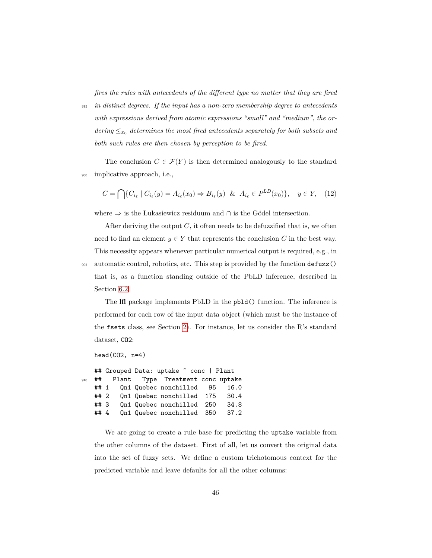*fires the rules with antecedents of the different type no matter that they are fired*

<sup>895</sup> *in distinct degrees. If the input has a non-zero membership degree to antecedents with expressions derived from atomic expressions "small" and "medium", the ordering*  $\leq_{x_0}$  *determines the most fired antecedents separately for both subsets and both such rules are then chosen by perception to be fired.*

The conclusion  $C \in \mathcal{F}(Y)$  is then determined analogously to the standard <sup>900</sup> implicative approach, i.e.,

<span id="page-45-0"></span>
$$
C = \bigcap \{ C_{i_{\ell}} \mid C_{i_{\ell}}(y) = A_{i_{\ell}}(x_0) \Rightarrow B_{i_{\ell}}(y) \& A_{i_{\ell}} \in P^{LD}(x_0) \}, \quad y \in Y, \quad (12)
$$

where  $\Rightarrow$  is the Lukasiewicz residuum and ∩ is the Gödel intersection.

After deriving the output  $C$ , it often needs to be defuzzified that is, we often need to find an element  $y \in Y$  that represents the conclusion *C* in the best way. This necessity appears whenever particular numerical output is required, e.g., in <sup>905</sup> automatic control, robotics, etc. This step is provided by the function defuzz() that is, as a function standing outside of the PbLD inference, described in Section [6.2.](#page-47-0)

The **lfl** package implements PbLD in the pbld() function. The inference is performed for each row of the input data object (which must be the instance of the fsets class, see Section [2\)](#page-5-0). For instance, let us consider the R's standard dataset, CO2:

```
head(C02, n=4)
```
## Grouped Data: uptake ˜ conc | Plant <sup>910</sup> ## Plant Type Treatment conc uptake ## 1 Qn1 Quebec nonchilled 95 16.0 ## 2 Qn1 Quebec nonchilled 175 30.4 ## 3 Qn1 Quebec nonchilled 250 34.8 ## 4 Qn1 Quebec nonchilled 350 37.2

We are going to create a rule base for predicting the uptake variable from the other columns of the dataset. First of all, let us convert the original data into the set of fuzzy sets. We define a custom trichotomous context for the predicted variable and leave defaults for all the other columns: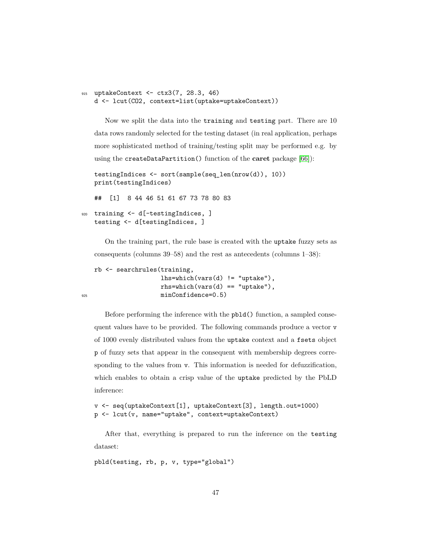```
915 uptakeContext <- ctx3(7, 28.3, 46)
   d <- lcut(CO2, context=list(uptake=uptakeContext))
```
Now we split the data into the training and testing part. There are 10 data rows randomly selected for the testing dataset (in real application, perhaps more sophisticated method of training/testing split may be performed e.g. by using the createDataPartition() function of the **caret** package [\[66\]](#page-67-3)):

```
testingIndices <- sort(sample(seq_len(nrow(d)), 10))
print(testingIndices)
```
## [1] 8 44 46 51 61 67 73 78 80 83

```
920 training <- d[-testingIndices, ]
   testing <- d[testingIndices, ]
```
On the training part, the rule base is created with the uptake fuzzy sets as consequents (columns 39–58) and the rest as antecedents (columns 1–38):

```
rb <- searchrules(training,
                  lhs=which(vars(d) != "uptake"),rhs=which(vars(d) == "uptake"),
925 minConfidence=0.5)
```
Before performing the inference with the pbld() function, a sampled consequent values have to be provided. The following commands produce a vector v of 1000 evenly distributed values from the uptake context and a fsets object p of fuzzy sets that appear in the consequent with membership degrees corresponding to the values from v. This information is needed for defuzzification, which enables to obtain a crisp value of the uptake predicted by the PbLD inference:

```
v <- seq(uptakeContext[1], uptakeContext[3], length.out=1000)
p <- lcut(v, name="uptake", context=uptakeContext)
```
After that, everything is prepared to run the inference on the testing dataset:

```
pbld(testing, rb, p, v, type="global")
```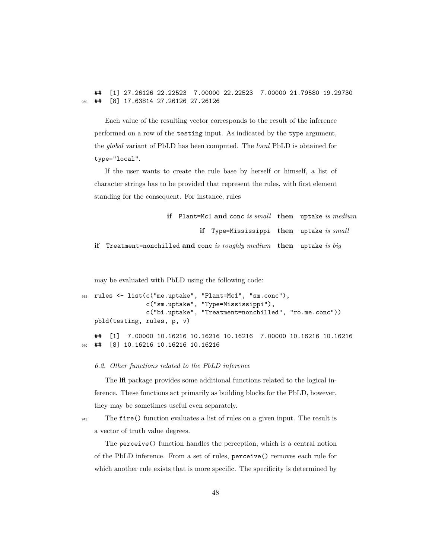## [1] 27.26126 22.22523 7.00000 22.22523 7.00000 21.79580 19.29730 <sup>930</sup> ## [8] 17.63814 27.26126 27.26126

Each value of the resulting vector corresponds to the result of the inference performed on a row of the testing input. As indicated by the type argument, the *global* variant of PbLD has been computed. The *local* PbLD is obtained for type="local".

If the user wants to create the rule base by herself or himself, a list of character strings has to be provided that represent the rules, with first element standing for the consequent. For instance, rules

| if Plant=Mc1 and conc is small then uptake is medium                  |  |
|-----------------------------------------------------------------------|--|
| <b>if</b> Type=Mississippi then uptake is small                       |  |
| if Treatment=nonchilled and conc is roughly medium then uptake is big |  |

may be evaluated with PbLD using the following code:

```
935 rules <- list(c("me.uptake", "Plant=Mc1", "sm.conc"),
                 c("sm.uptake", "Type=Mississippi"),
                 c("bi.uptake", "Treatment=nonchilled", "ro.me.conc"))
   pbld(testing, rules, p, v)
   ## [1] 7.00000 10.16216 10.16216 10.16216 7.00000 10.16216 10.16216
940 ## [8] 10.16216 10.16216 10.16216
```
<span id="page-47-0"></span>*6.2. Other functions related to the PbLD inference*

The **lfl** package provides some additional functions related to the logical inference. These functions act primarily as building blocks for the PbLD, however, they may be sometimes useful even separately.

<sup>945</sup> The fire() function evaluates a list of rules on a given input. The result is a vector of truth value degrees.

The perceive() function handles the perception, which is a central notion of the PbLD inference. From a set of rules, perceive() removes each rule for which another rule exists that is more specific. The specificity is determined by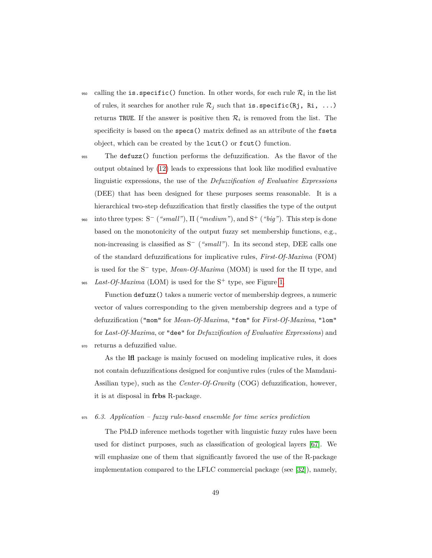- $_{\rm 950}$  calling the  ${\rm i}$ **s. specific()** function. In other words, for each rule  $\mathcal{R}_i$  in the list of rules, it searches for another rule  $\mathcal{R}_j$  such that is. specific(Rj, Ri, ...) returns TRUE. If the answer is positive then  $\mathcal{R}_i$  is removed from the list. The specificity is based on the specs() matrix defined as an attribute of the fsets object, which can be created by the lcut() or fcut() function.
- <sup>955</sup> The defuzz() function performs the defuzzification. As the flavor of the output obtained by [\(12\)](#page-45-0) leads to expressions that look like modified evaluative linguistic expressions, the use of the *Defuzzification of Evaluative Expressions* (DEE) that has been designed for these purposes seems reasonable. It is a hierarchical two-step defuzzification that firstly classifies the type of the output
- <sup>960</sup> into three types: S<sup>−</sup> ("small"),  $\Pi$  ("medium"), and S<sup>+</sup> ("big"). This step is done based on the monotonicity of the output fuzzy set membership functions, e.g., non-increasing is classified as S<sup>−</sup> (*"small"*). In its second step, DEE calls one of the standard defuzzifications for implicative rules, *First-Of-Maxima* (FOM) is used for the S<sup>−</sup> type, *Mean-Of-Maxima* (MOM) is used for the Π type, and

<sup>965</sup> Last-Of-Maxima (LOM) is used for the  $S^+$  type, see Figure [1.](#page-23-0)

Function defuzz() takes a numeric vector of membership degrees, a numeric vector of values corresponding to the given membership degrees and a type of defuzzification ("mom" for *Mean-Of-Maxima*, "fom" for *First-Of-Maxima*, "lom" for *Last-Of-Maxima*, or "dee" for *Defuzzification of Evaluative Expressions*) and <sup>970</sup> returns a defuzzified value.

As the **lfl** package is mainly focused on modeling implicative rules, it does not contain defuzzifications designed for conjuntive rules (rules of the Mamdani-Assilian type), such as the *Center-Of-Gravity* (COG) defuzzification, however, it is at disposal in **frbs** R-package.

<sup>975</sup> *6.3. Application – fuzzy rule-based ensemble for time series prediction*

The PbLD inference methods together with linguistic fuzzy rules have been used for distinct purposes, such as classification of geological layers [\[67\]](#page-67-4). We will emphasize one of them that significantly favored the use of the R-package implementation compared to the LFLC commercial package (see [\[32\]](#page-64-0)), namely,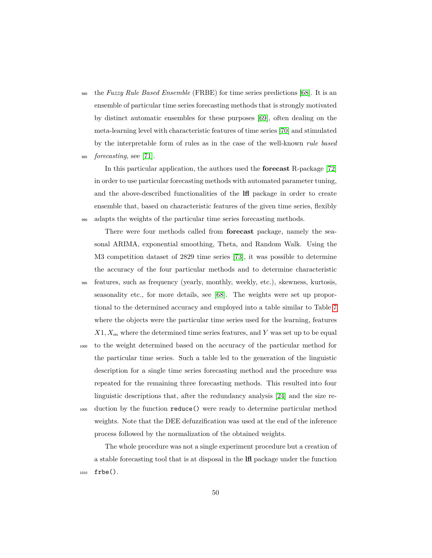<sup>980</sup> the *Fuzzy Rule Based Ensemble* (FRBE) for time series predictions [\[68\]](#page-67-5). It is an ensemble of particular time series forecasting methods that is strongly motivated by distinct automatic ensembles for these purposes [\[69\]](#page-67-6), often dealing on the meta-learning level with characteristic features of time series [\[70\]](#page-68-0) and stimulated by the interpretable form of rules as in the case of the well-known *rule based* <sup>985</sup> *forecasting*, see [\[71\]](#page-68-1).

In this particular application, the authors used the **forecast** R-package [\[72\]](#page-68-2) in order to use particular forecasting methods with automated parameter tuning, and the above-described functionalities of the **lfl** package in order to create ensemble that, based on characteristic features of the given time series, flexibly <sup>990</sup> adapts the weights of the particular time series forecasting methods.

There were four methods called from **forecast** package, namely the seasonal ARIMA, exponential smoothing, Theta, and Random Walk. Using the M3 competition dataset of 2829 time series [\[73\]](#page-68-3), it was possible to determine the accuracy of the four particular methods and to determine characteristic

<sup>995</sup> features, such as frequency (yearly, monthly, weekly, etc.), skewness, kurtosis, seasonality etc., for more details, see [\[68\]](#page-67-5). The weights were set up proportional to the determined accuracy and employed into a table similar to Table [7](#page-38-0) where the objects were the particular time series used for the learning, features *X*1*, X<sup>m</sup>* where the determined time series features, and *Y* was set up to be equal

<sup>1000</sup> to the weight determined based on the accuracy of the particular method for the particular time series. Such a table led to the generation of the linguistic description for a single time series forecasting method and the procedure was repeated for the remaining three forecasting methods. This resulted into four linguistic descriptions that, after the redundancy analysis [\[24\]](#page-63-1) and the size re-<sup>1005</sup> duction by the function reduce() were ready to determine particular method weights. Note that the DEE defuzzification was used at the end of the inference

process followed by the normalization of the obtained weights.

The whole procedure was not a single experiment procedure but a creation of a stable forecasting tool that is at disposal in the **lfl** package under the function <sup>1010</sup> frbe().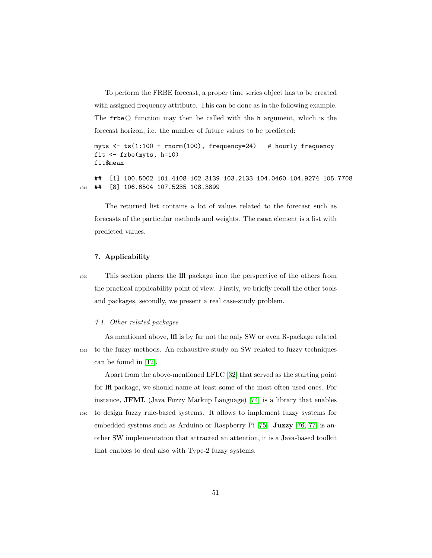To perform the FRBE forecast, a proper time series object has to be created with assigned frequency attribute. This can be done as in the following example. The frbe() function may then be called with the h argument, which is the forecast horizon, i.e. the number of future values to be predicted:

```
myts <- ts(1:100 + rnorm(100), frequency=24) # hourly frequency
fit <- frbe(myts, h=10)
fit$mean
```
## [1] 100.5002 101.4108 102.3139 103.2133 104.0460 104.9274 105.7708 1015 ## [8] 106.6504 107.5235 108.3899

The returned list contains a lot of values related to the forecast such as forecasts of the particular methods and weights. The mean element is a list with predicted values.

#### **7. Applicability**

<sup>1020</sup> This section places the **lfl** package into the perspective of the others from the practical applicability point of view. Firstly, we briefly recall the other tools and packages, secondly, we present a real case-study problem.

#### *7.1. Other related packages*

As mentioned above, **lfl** is by far not the only SW or even R-package related <sup>1025</sup> to the fuzzy methods. An exhaustive study on SW related to fuzzy techniques can be found in [\[12\]](#page-61-6).

Apart from the above-mentioned LFLC [\[32\]](#page-64-0) that served as the starting point for **lfl** package, we should name at least some of the most often used ones. For instance, **JFML** (Java Fuzzy Markup Language) [\[74\]](#page-68-4) is a library that enables <sup>1030</sup> to design fuzzy rule-based systems. It allows to implement fuzzy systems for embedded systems such as Arduino or Raspberry Pi [\[75\]](#page-68-5). **Juzzy** [\[76,](#page-68-6) [77\]](#page-68-7) is another SW implementation that attracted an attention, it is a Java-based toolkit that enables to deal also with Type-2 fuzzy systems.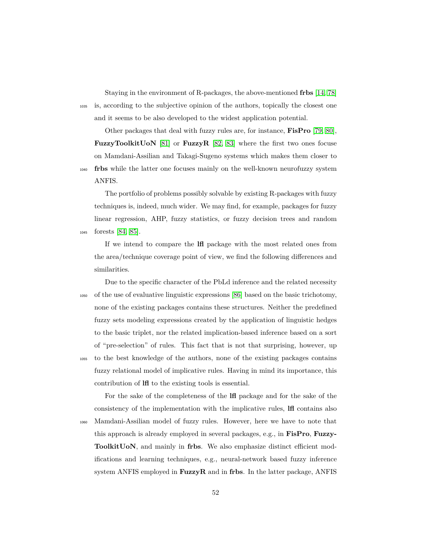Staying in the environment of R-packages, the above-mentioned **frbs** [\[14,](#page-61-8) [78\]](#page-68-8) <sup>1035</sup> is, according to the subjective opinion of the authors, topically the closest one and it seems to be also developed to the widest application potential.

Other packages that deal with fuzzy rules are, for instance, **FisPro** [\[79,](#page-69-0) [80\]](#page-69-1), **FuzzyToolkitUoN** [\[81\]](#page-69-2) or **FuzzyR** [\[82,](#page-69-3) [83\]](#page-69-4) where the first two ones focuse on Mamdani-Assilian and Takagi-Sugeno systems which makes them closer to <sup>1040</sup> **frbs** while the latter one focuses mainly on the well-known neurofuzzy system ANFIS.

The portfolio of problems possibly solvable by existing R-packages with fuzzy techniques is, indeed, much wider. We may find, for example, packages for fuzzy linear regression, AHP, fuzzy statistics, or fuzzy decision trees and random <sup>1045</sup> forests [\[84,](#page-69-5) [85\]](#page-69-6).

If we intend to compare the **lfl** package with the most related ones from the area/technique coverage point of view, we find the following differences and similarities.

Due to the specific character of the PbLd inference and the related necessity <sup>1050</sup> of the use of evaluative linguistic expressions [\[86\]](#page-69-7) based on the basic trichotomy, none of the existing packages contains these structures. Neither the predefined fuzzy sets modeling expressions created by the application of linguistic hedges to the basic triplet, nor the related implication-based inference based on a sort of "pre-selection" of rules. This fact that is not that surprising, however, up <sup>1055</sup> to the best knowledge of the authors, none of the existing packages contains fuzzy relational model of implicative rules. Having in mind its importance, this

contribution of **lfl** to the existing tools is essential.

For the sake of the completeness of the **lfl** package and for the sake of the consistency of the implementation with the implicative rules, **lfl** contains also <sup>1060</sup> Mamdani-Assilian model of fuzzy rules. However, here we have to note that this approach is already employed in several packages, e.g., in **FisPro**, **Fuzzy-ToolkitUoN**, and mainly in **frbs**. We also emphasize distinct efficient modifications and learning techniques, e.g., neural-network based fuzzy inference system ANFIS employed in **FuzzyR** and in **frbs**. In the latter package, ANFIS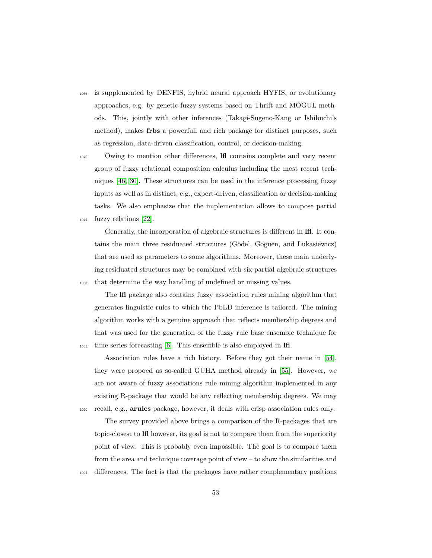<sup>1065</sup> is supplemented by DENFIS, hybrid neural approach HYFIS, or evolutionary approaches, e.g. by genetic fuzzy systems based on Thrift and MOGUL methods. This, jointly with other inferences (Takagi-Sugeno-Kang or Ishibuchi's method), makes **frbs** a powerfull and rich package for distinct purposes, such as regression, data-driven classification, control, or decision-making.

<sup>1070</sup> Owing to mention other differences, **lfl** contains complete and very recent group of fuzzy relational composition calculus including the most recent techniques [\[46,](#page-65-2) [30\]](#page-63-7). These structures can be used in the inference processing fuzzy inputs as well as in distinct, e.g., expert-driven, classification or decision-making tasks. We also emphasize that the implementation allows to compose partial <sup>1075</sup> fuzzy relations [\[22\]](#page-62-7).

Generally, the incorporation of algebraic structures is different in **lfl**. It contains the main three residuated structures (Gödel, Goguen, and Lukasiewicz) that are used as parameters to some algorithms. Moreover, these main underlying residuated structures may be combined with six partial algebraic structures <sup>1080</sup> that determine the way handling of undefined or missing values.

The **lfl** package also contains fuzzy association rules mining algorithm that generates linguistic rules to which the PbLD inference is tailored. The mining algorithm works with a genuine approach that reflects membership degrees and that was used for the generation of the fuzzy rule base ensemble technique for <sup>1085</sup> time series forecasting [\[6\]](#page-61-0). This ensemble is also employed in **lfl**.

Association rules have a rich history. Before they got their name in [\[54\]](#page-66-2), they were propoed as so-called GUHA method already in [\[55\]](#page-66-3). However, we are not aware of fuzzy associations rule mining algorithm implemented in any existing R-package that would be any reflecting membership degrees. We may <sup>1090</sup> recall, e.g., **arules** package, however, it deals with crisp association rules only.

The survey provided above brings a comparison of the R-packages that are topic-closest to **lfl** however, its goal is not to compare them from the superiority point of view. This is probably even impossible. The goal is to compare them from the area and technique coverage point of view – to show the similarities and <sup>1095</sup> differences. The fact is that the packages have rather complementary positions

53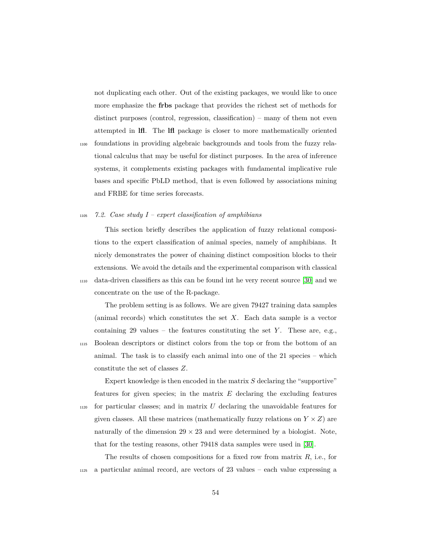not duplicating each other. Out of the existing packages, we would like to once more emphasize the **frbs** package that provides the richest set of methods for distinct purposes (control, regression, classification) – many of them not even attempted in **lfl**. The **lfl** package is closer to more mathematically oriented

<sup>1100</sup> foundations in providing algebraic backgrounds and tools from the fuzzy relational calculus that may be useful for distinct purposes. In the area of inference systems, it complements existing packages with fundamental implicative rule bases and specific PbLD method, that is even followed by associations mining and FRBE for time series forecasts.

#### <sup>1105</sup> *7.2. Case study I – expert classification of amphibians*

constitute the set of classes *Z*.

This section briefly describes the application of fuzzy relational compositions to the expert classification of animal species, namely of amphibians. It nicely demonstrates the power of chaining distinct composition blocks to their extensions. We avoid the details and the experimental comparison with classical <sup>1110</sup> data-driven classifiers as this can be found int he very recent source [\[30\]](#page-63-7) and we concentrate on the use of the R-package.

The problem setting is as follows. We are given 79427 training data samples (animal records) which constitutes the set *X*. Each data sample is a vector containing 29 values – the features constituting the set  $Y$ . These are, e.g., <sup>1115</sup> Boolean descriptors or distinct colors from the top or from the bottom of an animal. The task is to classify each animal into one of the 21 species – which

Expert knowledge is then encoded in the matrix *S* declaring the "supportive" features for given species; in the matrix *E* declaring the excluding features <sup>1120</sup> for particular classes; and in matrix *U* declaring the unavoidable features for given classes. All these matrices (mathematically fuzzy relations on  $Y \times Z$ ) are naturally of the dimension  $29 \times 23$  and were determined by a biologist. Note, that for the testing reasons, other 79418 data samples were used in [\[30\]](#page-63-7).

The results of chosen compositions for a fixed row from matrix *R*, i.e., for <sup>1125</sup> a particular animal record, are vectors of 23 values – each value expressing a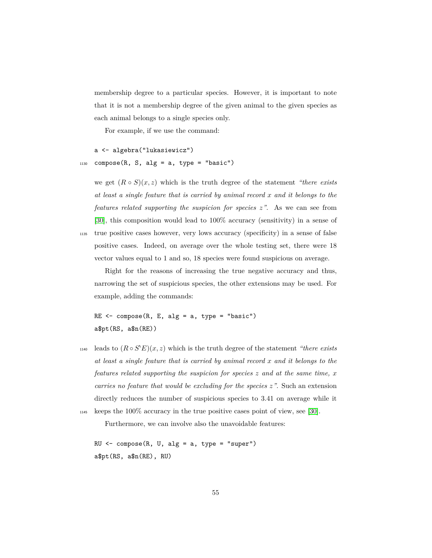membership degree to a particular species. However, it is important to note that it is not a membership degree of the given animal to the given species as each animal belongs to a single species only.

For example, if we use the command:

```
a <- algebra("lukasiewicz")
_{1130} compose(R, S, alg = a, type = "basic")
```
we get  $(R \circ S)(x, z)$  which is the truth degree of the statement *"there exists*" *at least a single feature that is carried by animal record x and it belongs to the features related supporting the suspicion for species z"*. As we can see from [\[30\]](#page-63-7), this composition would lead to 100% accuracy (sensitivity) in a sense of <sup>1135</sup> true positive cases however, very lows accuracy (specificity) in a sense of false positive cases. Indeed, on average over the whole testing set, there were 18 vector values equal to 1 and so, 18 species were found suspicious on average.

Right for the reasons of increasing the true negative accuracy and thus, narrowing the set of suspicious species, the other extensions may be used. For example, adding the commands:

 $RE < -$  compose(R, E, alg = a, type = "basic") a\$pt(RS, a\$n(RE))

 $h_{140}$  leads to  $(R \circ S'E)(x, z)$  which is the truth degree of the statement *"there exists at least a single feature that is carried by animal record x and it belongs to the features related supporting the suspicion for species z and at the same time, x carries no feature that would be excluding for the species z"*. Such an extension directly reduces the number of suspicious species to 3.41 on average while it <sup>1145</sup> keeps the 100% accuracy in the true positive cases point of view, see [\[30\]](#page-63-7).

Furthermore, we can involve also the unavoidable features:

 $RU \leftarrow \text{composite}(R, U, alg = a, type = "super")$ a\$pt(RS, a\$n(RE), RU)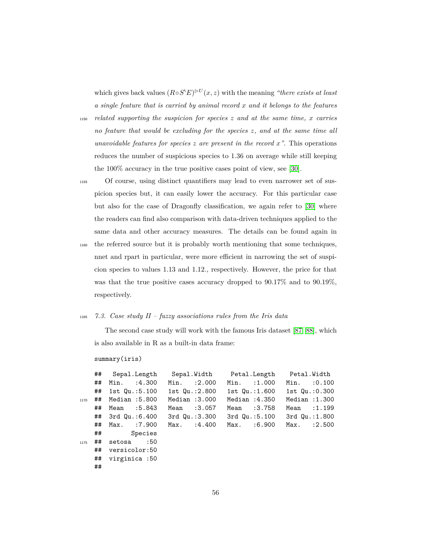which gives back values  $(R \circ S^*E)^{\triangleright U}(x, z)$  with the meaning *"there exists at least a single feature that is carried by animal record x and it belongs to the features*

<sup>1150</sup> *related supporting the suspicion for species z and at the same time, x carries no feature that would be excluding for the species z, and at the same time all unavoidable features for species*  $z$  *are present in the record*  $x$ <sup>*"*</sup>. This operations reduces the number of suspicious species to 1.36 on average while still keeping the 100% accuracy in the true positive cases point of view, see [\[30\]](#page-63-7).

<sup>1155</sup> Of course, using distinct quantifiers may lead to even narrower set of suspicion species but, it can easily lower the accuracy. For this particular case but also for the case of Dragonfly classification, we again refer to [\[30\]](#page-63-7) where the readers can find also comparison with data-driven techniques applied to the same data and other accuracy measures. The details can be found again in

<sup>1160</sup> the referred source but it is probably worth mentioning that some techniques, nnet and rpart in particular, were more efficient in narrowing the set of suspicion species to values 1.13 and 1.12., respectively. However, the price for that was that the true positive cases accuracy dropped to 90.17% and to 90.19%, respectively.

#### <sup>1165</sup> *7.3. Case study II – fuzzy associations rules from the Iris data*

The second case study will work with the famous Iris dataset [\[87,](#page-69-8) [88\]](#page-70-0), which is also available in R as a built-in data frame:

summary(iris)

|      | ## | Sepal.Length   |         | Sepal.Width        |             | Petal.Length    |                    | Petal.Width        |         |
|------|----|----------------|---------|--------------------|-------------|-----------------|--------------------|--------------------|---------|
|      | ## | Min.           | :4.300  | $Min.$ : 2.000     |             |                 | Min. : 1.000       | Min.               | :0.100  |
|      | ## | 1st Qu.:5.100  |         | 1st $Qu.:2.800$    |             |                 | 1st Qu.:1.600      | 1st $Qu.:0.300$    |         |
| 1170 | ## | Median : 5.800 |         | Median : 3.000     |             | Median $:4.350$ |                    | Median : 1.300     |         |
|      | ## | Mean :5.843    |         | Mean               | :3.057      | Mean : 3.758    |                    | Mean               | : 1.199 |
|      | ## | 3rd Qu.:6.400  |         | $3rd$ Qu.: $3.300$ |             |                 | $3rd$ Qu.: $5.100$ | $3rd$ Qu.: $1.800$ |         |
|      | ## | Max.           | :7.900  |                    | Max. :4.400 | Max.            | :6.900             | Max.               | : 2.500 |
|      | ## |                | Species |                    |             |                 |                    |                    |         |
| 1175 | ## | setosa         | :50     |                    |             |                 |                    |                    |         |
|      | ## | versicolor:50  |         |                    |             |                 |                    |                    |         |
|      | ## | virginica:50   |         |                    |             |                 |                    |                    |         |
|      | ## |                |         |                    |             |                 |                    |                    |         |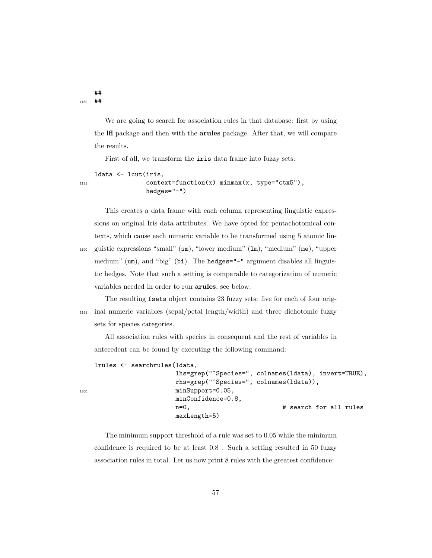## <sup>1180</sup> ##

> We are going to search for association rules in that database: first by using the **lfl** package and then with the **arules** package. After that, we will compare the results.

First of all, we transform the iris data frame into fuzzy sets:

```
ldata <- lcut(iris,
1185 context=function(x) minmax(x, type="ctx5"),
               hedges="-")
```
This creates a data frame with each column representing linguistic expressions on original Iris data attributes. We have opted for pentachotomical contexts, which cause each numeric variable to be transformed using 5 atomic lin-<sup>1190</sup> guistic expressions "small" (sm), "lower medium" (lm), "medium" (me), "upper medium" (um), and "big" (bi). The hedges="-" argument disables all linguistic hedges. Note that such a setting is comparable to categorization of numeric variables needed in order to run **arules**, see below.

The resulting fsets object contains 23 fuzzy sets: five for each of four orig-<sup>1195</sup> inal numeric variables (sepal/petal length/width) and three dichotomic fuzzy sets for species categories.

All association rules with species in consequent and the rest of variables in antecedent can be found by executing the following command:

lrules <- searchrules(ldata,

```
lhs=grep("ˆSpecies=", colnames(ldata), invert=TRUE),
                      rhs=grep("ˆSpecies=", colnames(ldata)),
1200 minSupport=0.05,
                     minConfidence=0.8,
                      n=0, \qquad # search for all rules
                      maxLength=5)
```
The minimum support threshold of a rule was set to 0.05 while the minimum confidence is required to be at least 0.8 . Such a setting resulted in 50 fuzzy association rules in total. Let us now print 8 rules with the greatest confidence: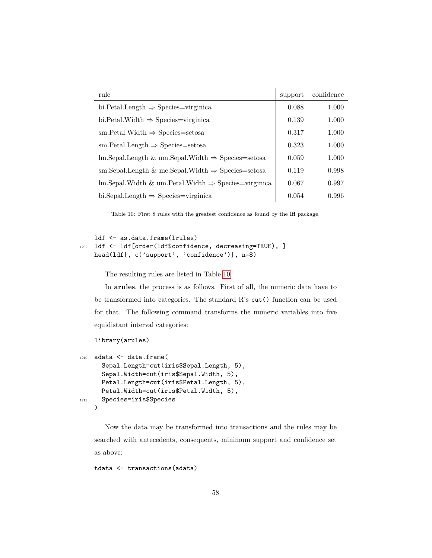<span id="page-57-0"></span>

| rule                                                                              | support | confidence |
|-----------------------------------------------------------------------------------|---------|------------|
| bi. Petal. Length $\Rightarrow$ Species=virginica                                 | 0.088   | 1.000      |
| bi. Petal. Width $\Rightarrow$ Species=virginica                                  | 0.139   | 1.000      |
| $sm.Petal.Width \Rightarrow Species = setosa$                                     | 0.317   | 1.000      |
| $sm.Petal.Length \Rightarrow Species=setosa$                                      | 0.323   | 1.000      |
| $lm.Sepal.Length \& um.Sepal.Width \Rightarrow Species=setosa$                    | 0.059   | 1.000      |
| sm. Sepal. Length & me. Sepal. Width $\Rightarrow$ Species=setosa                 | 0.119   | 0.998      |
| $\text{Im}.\text{Send}.$ Width & um. Petal. Width $\Rightarrow$ Species=virginica | 0.067   | 0.997      |
| bi.Sepal.Length $\Rightarrow$ Species=virginica                                   | 0.054   | 0.996      |

Table 10: First 8 rules with the greatest confidence as found by the **lfl** package.

### ldf <- as.data.frame(lrules) <sup>1205</sup> ldf <- ldf[order(ldf\$confidence, decreasing=TRUE), ] head(ldf[, c('support', 'confidence')], n=8)

The resulting rules are listed in Table [10.](#page-57-0)

In **arules**, the process is as follows. First of all, the numeric data have to be transformed into categories. The standard R's cut() function can be used for that. The following command transforms the numeric variables into five equidistant interval categories:

```
library(arules)
```

```
1210 adata <- data.frame(
      Sepal.Length=cut(iris$Sepal.Length, 5),
      Sepal.Width=cut(iris$Sepal.Width, 5),
      Petal.Length=cut(iris$Petal.Length, 5),
      Petal.Width=cut(iris$Petal.Width, 5),
1215 Species=iris$Species
    )
```
Now the data may be transformed into transactions and the rules may be searched with antecedents, consequents, minimum support and confidence set as above:

tdata <- transactions(adata)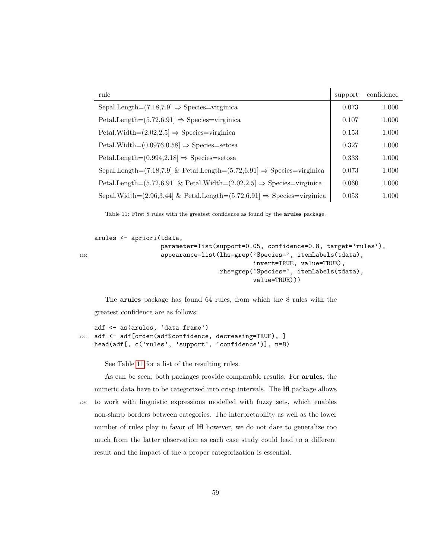<span id="page-58-0"></span>

| rule                                                                                      | support | confidence |
|-------------------------------------------------------------------------------------------|---------|------------|
| Sepal.Length= $(7.18, 7.9) \Rightarrow$ Species=virginica                                 | 0.073   | 1.000      |
| $\text{Petal.Length} = (5.72, 6.91) \Rightarrow \text{species} = \text{virginica}$        | 0.107   | 1.000      |
| Petal.Width= $(2.02, 2.5] \Rightarrow$ Species=virginica                                  | 0.153   | 1.000      |
| $\text{Petal.Width} = (0.0976, 0.58) \Rightarrow \text{species} = \text{setosa}$          | 0.327   | 1.000      |
| $\text{Petal.Length} = (0.994, 2.18) \Rightarrow \text{species} = \text{setosa}$          | 0.333   | 1.000      |
| Sepal.Length= $(7.18,7.9)$ & Petal.Length= $(5.72,6.91) \Rightarrow$ Species=virginica    | 0.073   | 1.000      |
| Petal.Length= $(5.72, 6.91)$ & Petal.Width= $(2.02, 2.5)$ $\Rightarrow$ Species=virginica | 0.060   | 1.000      |
| Sepal.Width= $(2.96, 3.44)$ & Petal.Length= $(5.72, 6.91] \Rightarrow$ Species=virginica  | 0.053   | 1.000      |

Table 11: First 8 rules with the greatest confidence as found by the **arules** package.

```
arules <- apriori(tdata,
                    parameter=list(support=0.05, confidence=0.8, target='rules'),
1220 appearance=list(lhs=grep('Species=', itemLabels(tdata),
                                            invert=TRUE, value=TRUE),
                                   rhs=grep('Species=', itemLabels(tdata),
                                            value=TRUE)))
```
The **arules** package has found 64 rules, from which the 8 rules with the greatest confidence are as follows:

```
adf <- as(arules, 'data.frame')
1225 adf <- adf[order(adf$confidence, decreasing=TRUE), ]
   head(adf[, c('rules', 'support', 'confidence')], n=8)
```
See Table [11](#page-58-0) for a list of the resulting rules.

As can be seen, both packages provide comparable results. For **arules**, the numeric data have to be categorized into crisp intervals. The **lfl** package allows <sup>1230</sup> to work with linguistic expressions modelled with fuzzy sets, which enables non-sharp borders between categories. The interpretability as well as the lower number of rules play in favor of **lfl** however, we do not dare to generalize too much from the latter observation as each case study could lead to a different result and the impact of the a proper categorization is essential.

```
59
```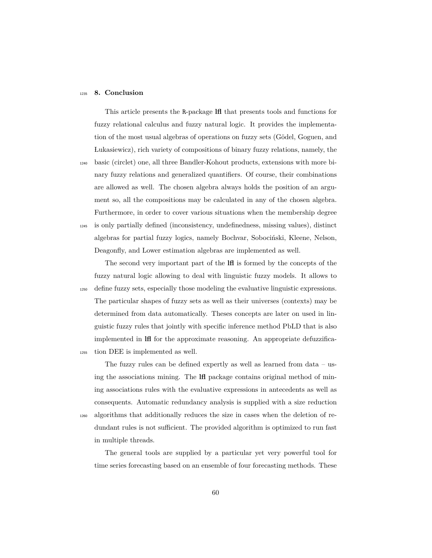#### <span id="page-59-0"></span><sup>1235</sup> **8. Conclusion**

This article presents the R-package **lfl** that presents tools and functions for fuzzy relational calculus and fuzzy natural logic. It provides the implementation of the most usual algebras of operations on fuzzy sets (Gödel, Goguen, and Lukasiewicz), rich variety of compositions of binary fuzzy relations, namely, the

<sup>1240</sup> basic (circlet) one, all three Bandler-Kohout products, extensions with more binary fuzzy relations and generalized quantifiers. Of course, their combinations are allowed as well. The chosen algebra always holds the position of an argument so, all the compositions may be calculated in any of the chosen algebra. Furthermore, in order to cover various situations when the membership degree <sup>1245</sup> is only partially defined (inconsistency, undefinedness, missing values), distinct algebras for partial fuzzy logics, namely Bochvar, Sobociński, Kleene, Nelson,

Deagonfly, and Lower estimation algebras are implemented as well. The second very important part of the **lfl** is formed by the concepts of the fuzzy natural logic allowing to deal with linguistic fuzzy models. It allows to <sup>1250</sup> define fuzzy sets, especially those modeling the evaluative linguistic expressions. The particular shapes of fuzzy sets as well as their universes (contexts) may be determined from data automatically. Theses concepts are later on used in lin-

guistic fuzzy rules that jointly with specific inference method PbLD that is also implemented in **lfl** for the approximate reasoning. An appropriate defuzzifica-<sup>1255</sup> tion DEE is implemented as well.

The fuzzy rules can be defined expertly as well as learned from data – using the associations mining. The **lfl** package contains original method of mining associations rules with the evaluative expressions in antecedents as well as consequents. Automatic redundancy analysis is supplied with a size reduction <sup>1260</sup> algorithms that additionally reduces the size in cases when the deletion of redundant rules is not sufficient. The provided algorithm is optimized to run fast in multiple threads.

The general tools are supplied by a particular yet very powerful tool for time series forecasting based on an ensemble of four forecasting methods. These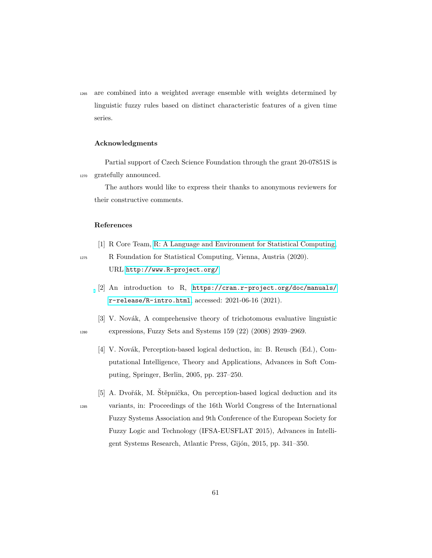<sup>1265</sup> are combined into a weighted average ensemble with weights determined by linguistic fuzzy rules based on distinct characteristic features of a given time series.

#### **Acknowledgments**

Partial support of Czech Science Foundation through the grant 20-07851S is <sup>1270</sup> gratefully announced.

The authors would like to express their thanks to anonymous reviewers for their constructive comments.

### **References**

<span id="page-60-0"></span>[1] R Core Team, [R: A Language and Environment for Statistical Computing,](http://www.R-project.org/)

<span id="page-60-1"></span>

- <sup>1275</sup> R Foundation for Statistical Computing, Vienna, Austria (2020). URL <http://www.R-project.org/>
	- [2] An introduction to R, [https://cran.r-project.org/doc/manuals/](https://cran.r-project.org/doc/manuals/r-release/R-intro.html) [r-release/R-intro.html](https://cran.r-project.org/doc/manuals/r-release/R-intro.html), accessed: 2021-06-16 (2021).
- <span id="page-60-3"></span><span id="page-60-2"></span>[3] V. Novák, A comprehensive theory of trichotomous evaluative linguistic <sup>1280</sup> expressions, Fuzzy Sets and Systems 159 (22) (2008) 2939–2969.
	- [4] V. Novák, Perception-based logical deduction, in: B. Reusch (Ed.), Computational Intelligence, Theory and Applications, Advances in Soft Computing, Springer, Berlin, 2005, pp. 237–250.
- <span id="page-60-4"></span>[5] A. Dvořák, M. Štěpnička, On perception-based logical deduction and its <sup>1285</sup> variants, in: Proceedings of the 16th World Congress of the International Fuzzy Systems Association and 9th Conference of the European Society for Fuzzy Logic and Technology (IFSA-EUSFLAT 2015), Advances in Intelligent Systems Research, Atlantic Press, Gijón, 2015, pp. 341–350.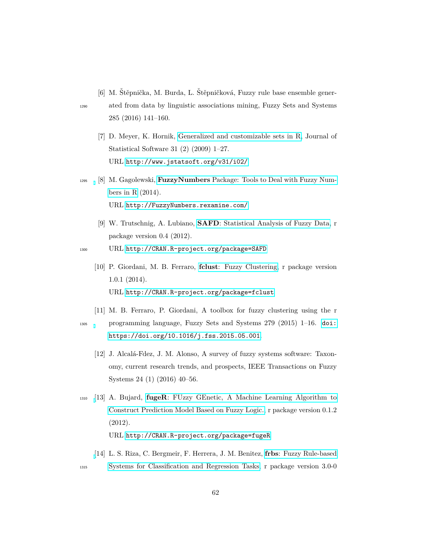<span id="page-61-0"></span>[6] M. Štěpnička, M. Burda, L. Štěpničková, Fuzzy rule base ensemble gener-

<span id="page-61-1"></span>

- <sup>1290</sup> ated from data by linguistic associations mining, Fuzzy Sets and Systems 285 (2016) 141–160.
	- [7] D. Meyer, K. Hornik, [Generalized and customizable sets in R,](http://www.jstatsoft.org/v31/i02/) Journal of Statistical Software 31 (2) (2009) 1–27. URL <http://www.jstatsoft.org/v31/i02/>
- <span id="page-61-2"></span><sup>1295</sup> [8] M. Gagolewski, **FuzzyNumbers** [Package: Tools to Deal with Fuzzy Num](http://FuzzyNumbers.rexamine.com/)[bers in R](http://FuzzyNumbers.rexamine.com/) (2014). URL <http://FuzzyNumbers.rexamine.com/>
	- [9] W. Trutschnig, A. Lubiano, **SAFD**[: Statistical Analysis of Fuzzy Data,](http://CRAN.R-project.org/package=SAFD) r package version 0.4 (2012).
- <span id="page-61-4"></span><span id="page-61-3"></span><sup>1300</sup> URL <http://CRAN.R-project.org/package=SAFD>
	- [10] P. Giordani, M. B. Ferraro, **fclust**[: Fuzzy Clustering,](http://CRAN.R-project.org/package=fclust) r package version 1.0.1 (2014). URL <http://CRAN.R-project.org/package=fclust>
- <span id="page-61-6"></span><span id="page-61-5"></span>[11] M. B. Ferraro, P. Giordani, A toolbox for fuzzy clustering using the r <sup>1305</sup> programming language, Fuzzy Sets and Systems 279 (2015) 1–16. [doi:](https://doi.org/https://doi.org/10.1016/j.fss.2015.05.001) [https://doi.org/10.1016/j.fss.2015.05.001](https://doi.org/https://doi.org/10.1016/j.fss.2015.05.001).
	- [12] J. Alcalá-Fdez, J. M. Alonso, A survey of fuzzy systems software: Taxonomy, current research trends, and prospects, IEEE Transactions on Fuzzy Systems 24 (1) (2016) 40–56.
- <span id="page-61-7"></span><sup>1310</sup> [\[](http://CRAN.R-project.org/package=fugeR)13] A. Bujard, **fugeR**[: FUzzy GEnetic, A Machine Learning Algorithm to](http://CRAN.R-project.org/package=fugeR) [Construct Prediction Model Based on Fuzzy Logic.,](http://CRAN.R-project.org/package=fugeR) r package version 0.1.2 (2012).

URL <http://CRAN.R-project.org/package=fugeR>

<span id="page-61-8"></span>[\[](http://CRAN.R-project.org/package=frbs)14] L. S. Riza, C. Bergmeir, F. Herrera, J. M. Benitez, **frbs**[: Fuzzy Rule-based](http://CRAN.R-project.org/package=frbs) <sup>1315</sup> [Systems for Classification and Regression Tasks,](http://CRAN.R-project.org/package=frbs) r package version 3.0-0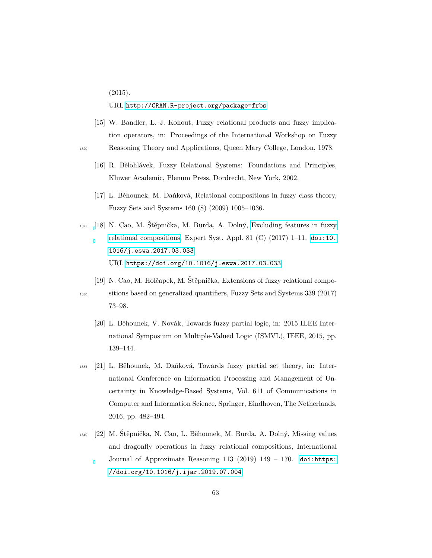(2015).

<span id="page-62-0"></span>URL <http://CRAN.R-project.org/package=frbs>

- [15] W. Bandler, L. J. Kohout, Fuzzy relational products and fuzzy implication operators, in: Proceedings of the International Workshop on Fuzzy <sup>1320</sup> Reasoning Theory and Applications, Queen Mary College, London, 1978.
- 
- <span id="page-62-1"></span>[16] R. Bělohlávek, Fuzzy Relational Systems: Foundations and Principles, Kluwer Academic, Plenum Press, Dordrecht, New York, 2002.
- <span id="page-62-2"></span>[17] L. Běhounek, M. Daňková, Relational compositions in fuzzy class theory, Fuzzy Sets and Systems 160 (8) (2009) 1005–1036.
- <span id="page-62-3"></span> $1325$  [\[](https://doi.org/10.1016/j.eswa.2017.03.033)18] N. Cao, M. Štěpnička, M. Burda, A. Dolný, [Excluding features in fuzzy](https://doi.org/10.1016/j.eswa.2017.03.033) [relational compositions,](https://doi.org/10.1016/j.eswa.2017.03.033) Expert Syst. Appl. 81 (C)  $(2017)$  1–11. [doi:10.](https://doi.org/10.1016/j.eswa.2017.03.033) [1016/j.eswa.2017.03.033](https://doi.org/10.1016/j.eswa.2017.03.033). URL <https://doi.org/10.1016/j.eswa.2017.03.033>
	- [19] N. Cao, M. Holčapek, M. Štěpnička, Extensions of fuzzy relational compo-

<span id="page-62-5"></span>

- <span id="page-62-4"></span><sup>1330</sup> sitions based on generalized quantifiers, Fuzzy Sets and Systems 339 (2017) 73–98.
	- [20] L. Běhounek, V. Novák, Towards fuzzy partial logic, in: 2015 IEEE International Symposium on Multiple-Valued Logic (ISMVL), IEEE, 2015, pp. 139–144.
- <span id="page-62-6"></span><sup>1335</sup> [21] L. Bˇehounek, M. Daˇnkov´a, Towards fuzzy partial set theory, in: International Conference on Information Processing and Management of Uncertainty in Knowledge-Based Systems, Vol. 611 of Communications in Computer and Information Science, Springer, Eindhoven, The Netherlands, 2016, pp. 482–494.
- <span id="page-62-7"></span>1340 [22] M. Štěpnička, N. Cao, L. Běhounek, M. Burda, A. Dolný, Missing values and dragonfly operations in fuzzy relational compositions, International Journal of Approximate Reasoning 113 (2019) 149 – 170. [doi:https:](https://doi.org/https://doi.org/10.1016/j.ijar.2019.07.004) [//doi.org/10.1016/j.ijar.2019.07.004](https://doi.org/https://doi.org/10.1016/j.ijar.2019.07.004).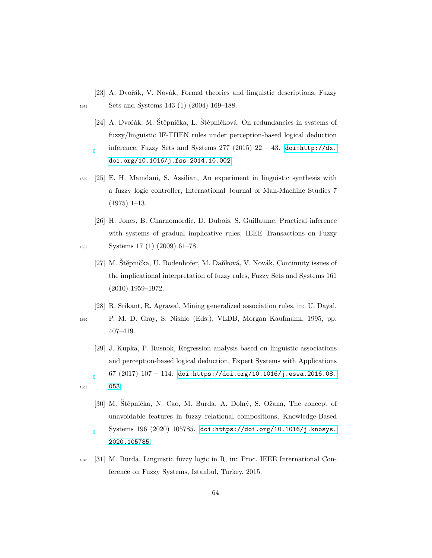- <span id="page-63-1"></span><span id="page-63-0"></span>[23] A. Dvořák, V. Novák, Formal theories and linguistic descriptions, Fuzzy 1345 Sets and Systems 143 (1) (2004) 169–188.
	- [24] A. Dvořák, M. Štěpnička, L. Štěpničková, On redundancies in systems of fuzzy/linguistic IF-THEN rules under perception-based logical deduction inference, Fuzzy Sets and Systems 277 (2015) 22 – 43. [doi:http://dx.](https://doi.org/http://dx.doi.org/10.1016/j.fss.2014.10.002) [doi.org/10.1016/j.fss.2014.10.002](https://doi.org/http://dx.doi.org/10.1016/j.fss.2014.10.002).
- <span id="page-63-2"></span><sup>1350</sup> [25] E. H. Mamdani, S. Assilian, An experiment in linguistic synthesis with a fuzzy logic controller, International Journal of Man-Machine Studies 7 (1975) 1–13.
- <span id="page-63-4"></span><span id="page-63-3"></span>[26] H. Jones, B. Charnomordic, D. Dubois, S. Guillaume, Practical inference with systems of gradual implicative rules, IEEE Transactions on Fuzzy 1355 Systems 17 (1) (2009) 61–78.
	- [27] M. Štěpnička, U. Bodenhofer, M. Daňková, V. Novák, Continuity issues of the implicational interpretation of fuzzy rules, Fuzzy Sets and Systems 161 (2010) 1959–1972.
	- [28] R. Srikant, R. Agrawal, Mining generalized association rules, in: U. Dayal,
- <span id="page-63-5"></span><sup>1360</sup> P. M. D. Gray, S. Nishio (Eds.), VLDB, Morgan Kaufmann, 1995, pp. 407–419.
- <span id="page-63-7"></span><span id="page-63-6"></span>[29] J. Kupka, P. Rusnok, Regression analysis based on linguistic associations and perception-based logical deduction, Expert Systems with Applications 67  $(2017)$  107 - 114. [doi:https://doi.org/10.1016/j.eswa.2016.08.](https://doi.org/https://doi.org/10.1016/j.eswa.2016.08.053) <sup>1365</sup> [053](https://doi.org/https://doi.org/10.1016/j.eswa.2016.08.053).
	- [30] M. Stěpnička, N. Cao, M. Burda, A. Dolný, S. Ožana, The concept of unavoidable features in fuzzy relational compositions, Knowledge-Based Systems 196 (2020) 105785. [doi:https://doi.org/10.1016/j.knosys.](https://doi.org/https://doi.org/10.1016/j.knosys.2020.105785) [2020.105785](https://doi.org/https://doi.org/10.1016/j.knosys.2020.105785).
- <span id="page-63-8"></span><sup>1370</sup> [31] M. Burda, Linguistic fuzzy logic in R, in: Proc. IEEE International Conference on Fuzzy Systems, Istanbul, Turkey, 2015.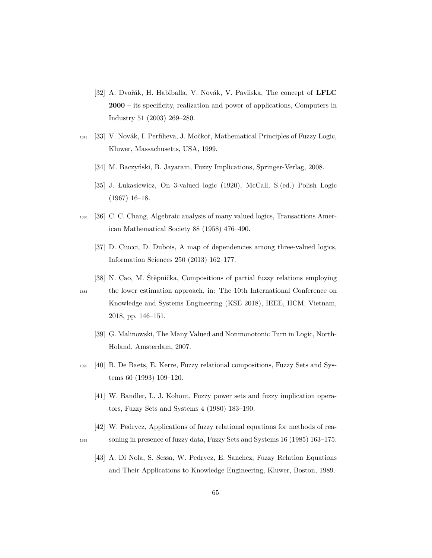- <span id="page-64-0"></span>[32] A. Dvořák, H. Habiballa, V. Novák, V. Pavliska, The concept of LFLC **2000** – its specificity, realization and power of applications, Computers in Industry 51 (2003) 269–280.
- <span id="page-64-2"></span><span id="page-64-1"></span>1375 [33] V. Novák, I. Perfilieva, J. Močkoř, Mathematical Principles of Fuzzy Logic, Kluwer, Massachusetts, USA, 1999.
	- [34] M. Baczyński, B. Jayaram, Fuzzy Implications, Springer-Verlag, 2008.
	- [35] J. Lukasiewicz, On 3-valued logic (1920), McCall, S.(ed.) Polish Logic (1967) 16–18.
- <span id="page-64-5"></span><span id="page-64-4"></span><span id="page-64-3"></span><sup>1380</sup> [36] C. C. Chang, Algebraic analysis of many valued logics, Transactions American Mathematical Society 88 (1958) 476–490.
	- [37] D. Ciucci, D. Dubois, A map of dependencies among three-valued logics, Information Sciences 250 (2013) 162–177.
	- [38] N. Cao, M. Stěpnička, Compositions of partial fuzzy relations employing

<span id="page-64-7"></span>

- <span id="page-64-6"></span><sup>1385</sup> the lower estimation approach, in: The 10th International Conference on Knowledge and Systems Engineering (KSE 2018), IEEE, HCM, Vietnam, 2018, pp. 146–151.
	- [39] G. Malinowski, The Many Valued and Nonmonotonic Turn in Logic, North-Holand, Amsterdam, 2007.
- <span id="page-64-9"></span><span id="page-64-8"></span><sup>1390</sup> [40] B. De Baets, E. Kerre, Fuzzy relational compositions, Fuzzy Sets and Systems 60 (1993) 109–120.
	- [41] W. Bandler, L. J. Kohout, Fuzzy power sets and fuzzy implication operators, Fuzzy Sets and Systems 4 (1980) 183–190.
- <span id="page-64-11"></span><span id="page-64-10"></span>[42] W. Pedrycz, Applications of fuzzy relational equations for methods of rea-<sup>1395</sup> soning in presence of fuzzy data, Fuzzy Sets and Systems 16 (1985) 163–175.
	- [43] A. Di Nola, S. Sessa, W. Pedrycz, E. Sanchez, Fuzzy Relation Equations and Their Applications to Knowledge Engineering, Kluwer, Boston, 1989.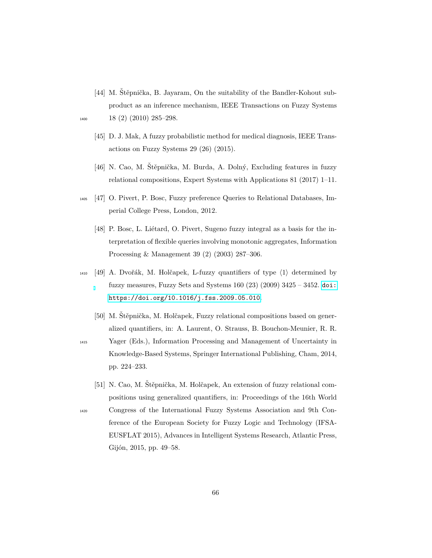- <span id="page-65-0"></span>[44] M. Štěpnička, B. Jayaram, On the suitability of the Bandler-Kohout subproduct as an inference mechanism, IEEE Transactions on Fuzzy Systems  $1400 \hspace{1.5cm} 18 \hspace{1.5cm} (2) \hspace{1.5cm} (2010) \hspace{1.5cm} 285-298.$
- 
- <span id="page-65-1"></span>[45] D. J. Mak, A fuzzy probabilistic method for medical diagnosis, IEEE Transactions on Fuzzy Systems 29 (26) (2015).
- <span id="page-65-2"></span>[46] N. Cao, M. Štěpnička, M. Burda, A. Dolný, Excluding features in fuzzy relational compositions, Expert Systems with Applications 81 (2017) 1–11.
- <span id="page-65-4"></span><span id="page-65-3"></span><sup>1405</sup> [47] O. Pivert, P. Bosc, Fuzzy preference Queries to Relational Databases, Imperial College Press, London, 2012.
	- [48] P. Bosc, L. Liétard, O. Pivert, Sugeno fuzzy integral as a basis for the interpretation of flexible queries involving monotonic aggregates, Information Processing & Management 39 (2) (2003) 287–306.
- <span id="page-65-5"></span> $_{1410}$  [49] A. Dvořák, M. Holčapek, L-fuzzy quantifiers of type  $\langle 1 \rangle$  determined by fuzzy measures, Fuzzy Sets and Systems  $160(23)(2009)$   $3425 - 3452$ . [doi:](https://doi.org/https://doi.org/10.1016/j.fss.2009.05.010) [https://doi.org/10.1016/j.fss.2009.05.010](https://doi.org/https://doi.org/10.1016/j.fss.2009.05.010).
	- [50] M. Stěpnička, M. Holčapek, Fuzzy relational compositions based on generalized quantifiers, in: A. Laurent, O. Strauss, B. Bouchon-Meunier, R. R.
- <span id="page-65-6"></span><sup>1415</sup> Yager (Eds.), Information Processing and Management of Uncertainty in Knowledge-Based Systems, Springer International Publishing, Cham, 2014, pp. 224–233.
- <span id="page-65-7"></span>[51] N. Cao, M. Štěpnička, M. Holčapek, An extension of fuzzy relational compositions using generalized quantifiers, in: Proceedings of the 16th World <sup>1420</sup> Congress of the International Fuzzy Systems Association and 9th Conference of the European Society for Fuzzy Logic and Technology (IFSA-EUSFLAT 2015), Advances in Intelligent Systems Research, Atlantic Press, Gijón, 2015, pp. 49–58.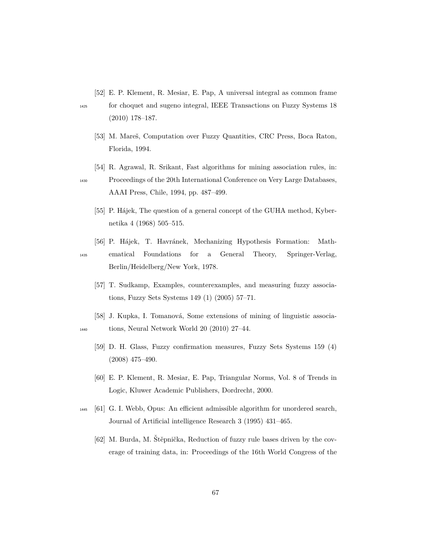<span id="page-66-0"></span>[52] E. P. Klement, R. Mesiar, E. Pap, A universal integral as common frame

<span id="page-66-1"></span>

- <sup>1425</sup> for choquet and sugeno integral, IEEE Transactions on Fuzzy Systems 18 (2010) 178–187.
	- [53] M. Mareš, Computation over Fuzzy Quantities, CRC Press, Boca Raton, Florida, 1994.
	- [54] R. Agrawal, R. Srikant, Fast algorithms for mining association rules, in:

<span id="page-66-2"></span><sup>1430</sup> Proceedings of the 20th International Conference on Very Large Databases, AAAI Press, Chile, 1994, pp. 487–499.

- <span id="page-66-3"></span>[55] P. Hájek, The question of a general concept of the GUHA method, Kybernetika 4 (1968) 505–515.
- <span id="page-66-5"></span><span id="page-66-4"></span>[56] P. Hájek, T. Havránek, Mechanizing Hypothesis Formation: Math-<sup>1435</sup> ematical Foundations for a General Theory, Springer-Verlag, Berlin/Heidelberg/New York, 1978.
	- [57] T. Sudkamp, Examples, counterexamples, and measuring fuzzy associations, Fuzzy Sets Systems 149 (1) (2005) 57–71.
- <span id="page-66-7"></span><span id="page-66-6"></span>[58] J. Kupka, I. Tomanová, Some extensions of mining of linguistic associa-<sup>1440</sup> tions, Neural Network World 20 (2010) 27–44.
	- [59] D. H. Glass, Fuzzy confirmation measures, Fuzzy Sets Systems 159 (4) (2008) 475–490.
	- [60] E. P. Klement, R. Mesiar, E. Pap, Triangular Norms, Vol. 8 of Trends in Logic, Kluwer Academic Publishers, Dordrecht, 2000.
- <span id="page-66-10"></span><span id="page-66-9"></span><span id="page-66-8"></span><sup>1445</sup> [61] G. I. Webb, Opus: An efficient admissible algorithm for unordered search, Journal of Artificial intelligence Research 3 (1995) 431–465.
	- $[62]$  M. Burda, M. Štěpnička, Reduction of fuzzy rule bases driven by the coverage of training data, in: Proceedings of the 16th World Congress of the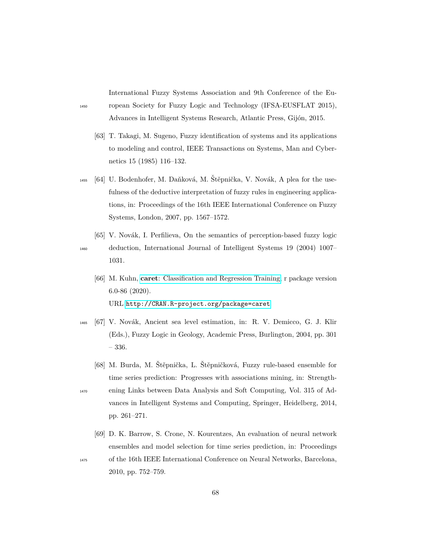International Fuzzy Systems Association and 9th Conference of the Eu-<sup>1450</sup> ropean Society for Fuzzy Logic and Technology (IFSA-EUSFLAT 2015), Advances in Intelligent Systems Research, Atlantic Press, Gijón, 2015.

- <span id="page-67-0"></span>[63] T. Takagi, M. Sugeno, Fuzzy identification of systems and its applications to modeling and control, IEEE Transactions on Systems, Man and Cybernetics 15 (1985) 116–132.
- <span id="page-67-1"></span><sup>1455</sup> [64] U. Bodenhofer, M. Daňková, M. Štěpnička, V. Novák, A plea for the usefulness of the deductive interpretation of fuzzy rules in engineering applications, in: Proceedings of the 16th IEEE International Conference on Fuzzy Systems, London, 2007, pp. 1567–1572.
- <span id="page-67-3"></span><span id="page-67-2"></span>[65] V. Novák, I. Perfilieva, On the semantics of perception-based fuzzy logic <sup>1460</sup> deduction, International Journal of Intelligent Systems 19 (2004) 1007– 1031.
	- [66] M. Kuhn, **caret**[: Classification and Regression Training,](http://CRAN.R-project.org/package=caret) r package version 6.0-86 (2020). URL <http://CRAN.R-project.org/package=caret>
- <span id="page-67-4"></span>1465 [67] V. Novák, Ancient sea level estimation, in: R. V. Demicco, G. J. Klir (Eds.), Fuzzy Logic in Geology, Academic Press, Burlington, 2004, pp. 301 – 336.
- <span id="page-67-5"></span>[68] M. Burda, M. Štěpnička, L. Štěpničková, Fuzzy rule-based ensemble for time series prediction: Progresses with associations mining, in: Strength-<sup>1470</sup> ening Links between Data Analysis and Soft Computing, Vol. 315 of Advances in Intelligent Systems and Computing, Springer, Heidelberg, 2014, pp. 261–271.
	- [69] D. K. Barrow, S. Crone, N. Kourentzes, An evaluation of neural network ensembles and model selection for time series prediction, in: Proceedings

<span id="page-67-6"></span><sup>1475</sup> of the 16th IEEE International Conference on Neural Networks, Barcelona, 2010, pp. 752–759.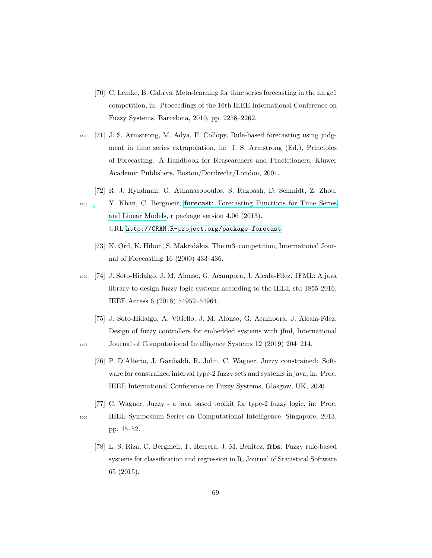- <span id="page-68-0"></span>[70] C. Lemke, B. Gabrys, Meta-learning for time series forecasting in the nn gc1 competition, in: Proceedings of the 16th IEEE International Conference on Fuzzy Systems, Barcelona, 2010, pp. 2258–2262.
- <span id="page-68-1"></span><sup>1480</sup> [71] J. S. Armstrong, M. Adya, F. Collopy, Rule-based forecasting using judgment in time series extrapolation, in: J. S. Armstrong (Ed.), Principles of Forecasting: A Handbook for Reasearchers and Practitioners, Kluwer Academic Publishers, Boston/Dordrecht/London, 2001.
	- [72] R. J. Hyndman, G. Athanasopoulos, S. Razbash, D. Schmidt, Z. Zhou,
- <span id="page-68-3"></span><span id="page-68-2"></span><sup>1485</sup> Y. Khan, C. Bergmeir, **forecast**[: Forecasting Functions for Time Series](http://CRAN.R-project.org/package=forecast) [and Linear Models,](http://CRAN.R-project.org/package=forecast) r package version 4.06 (2013). URL <http://CRAN.R-project.org/package=forecast>
	- [73] K. Ord, K. Hibon, S. Makridakis, The m3–competition, International Journal of Forecasting 16 (2000) 433–436.
- <span id="page-68-4"></span><sup>1490</sup> [74] J. Soto-Hidalgo, J. M. Alonso, G. Acampora, J. Alcala-Fdez, JFML: A java library to design fuzzy logic systems according to the IEEE std 1855-2016, IEEE Access 6 (2018) 54952–54964.
- <span id="page-68-6"></span><span id="page-68-5"></span>[75] J. Soto-Hidalgo, A. Vitiello, J. M. Alonso, G. Acampora, J. Alcala-Fdez, Design of fuzzy controllers for embedded systems with jfml, International <sup>1495</sup> Journal of Computational Intelligence Systems 12 (2019) 204–214.
	- [76] P. D'Alterio, J. Garibaldi, R. John, C. Wagner, Juzzy constrained: Software for constrained interval type-2 fuzzy sets and systems in java, in: Proc. IEEE International Conference on Fuzzy Systems, Glasgow, UK, 2020.
- <span id="page-68-8"></span><span id="page-68-7"></span>[77] C. Wagner, Juzzy - a java based toolkit for type-2 fuzzy logic, in: Proc. <sup>1500</sup> IEEE Symposium Series on Computational Intelligence, Singapore, 2013, pp. 45–52.
	- [78] L. S. Riza, C. Bergmeir, F. Herrera, J. M. Benitez, **frbs**: Fuzzy rule-based systems for classification and regression in R, Journal of Statistical Software 65 (2015).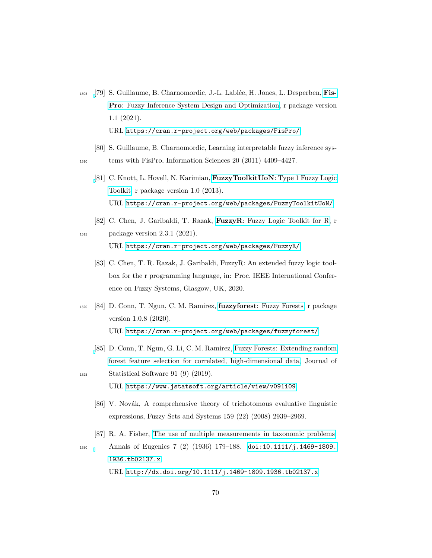- <span id="page-69-0"></span><sup>1505</sup> [\[](https://cran.r-project.org/web/packages/FisPro/)79] S. Guillaume, B. Charnomordic, J.-L. Labl´ee, H. Jones, L. Desperben, **[Fis-](https://cran.r-project.org/web/packages/FisPro/)Pro**[: Fuzzy Inference System Design and Optimization,](https://cran.r-project.org/web/packages/FisPro/) r package version 1.1 (2021). URL <https://cran.r-project.org/web/packages/FisPro/>
- <span id="page-69-2"></span><span id="page-69-1"></span>[80] S. Guillaume, B. Charnomordic, Learning interpretable fuzzy inference sys-<sup>1510</sup> tems with FisPro, Information Sciences 20 (2011) 4409–4427.
	- [\[](https://cran.r-project.org/web/packages/FuzzyToolkitUoN/)81] C. Knott, L. Hovell, N. Karimian, **FuzzyToolkitUoN**[: Type 1 Fuzzy Logic](https://cran.r-project.org/web/packages/FuzzyToolkitUoN/) [Toolkit,](https://cran.r-project.org/web/packages/FuzzyToolkitUoN/) r package version 1.0 (2013). URL <https://cran.r-project.org/web/packages/FuzzyToolkitUoN/>
- <span id="page-69-4"></span><span id="page-69-3"></span>[82] C. Chen, J. Garibaldi, T. Razak, **FuzzyR**[: Fuzzy Logic Toolkit for R,](https://cran.r-project.org/web/packages/FuzzyR/) r 1515 package version 2.3.1 (2021). URL <https://cran.r-project.org/web/packages/FuzzyR/>
	- [83] C. Chen, T. R. Razak, J. Garibaldi, FuzzyR: An extended fuzzy logic toolbox for the r programming language, in: Proc. IEEE International Conference on Fuzzy Systems, Glasgow, UK, 2020.
- <span id="page-69-5"></span><sup>1520</sup> [84] D. Conn, T. Ngun, C. M. Ramirez, **fuzzyforest**[: Fuzzy Forests,](https://cran.r-project.org/web/packages/fuzzyforest/) r package version 1.0.8 (2020). URL <https://cran.r-project.org/web/packages/fuzzyforest/>
- <span id="page-69-7"></span><span id="page-69-6"></span>[\[](https://www.jstatsoft.org/article/view/v091i09)85] D. Conn, T. Ngun, G. Li, C. M. Ramirez, [Fuzzy Forests: Extending random](https://www.jstatsoft.org/article/view/v091i09) [forest feature selection for correlated, high-dimensional data,](https://www.jstatsoft.org/article/view/v091i09) Journal of <sup>1525</sup> Statistical Software 91 (9) (2019).
	- URL <https://www.jstatsoft.org/article/view/v091i09>
	- [86] V. Novák, A comprehensive theory of trichotomous evaluative linguistic expressions, Fuzzy Sets and Systems 159 (22) (2008) 2939–2969.
	- [87] R. A. Fisher, [The use of multiple measurements in taxonomic problems,](http://dx.doi.org/10.1111/j.1469-1809.1936.tb02137.x)
- <span id="page-69-8"></span><sup>1530</sup> Annals of Eugenics 7 (2) (1936) 179–188. [doi:10.1111/j.1469-1809.](https://doi.org/10.1111/j.1469-1809.1936.tb02137.x) [1936.tb02137.x](https://doi.org/10.1111/j.1469-1809.1936.tb02137.x). URL <http://dx.doi.org/10.1111/j.1469-1809.1936.tb02137.x>